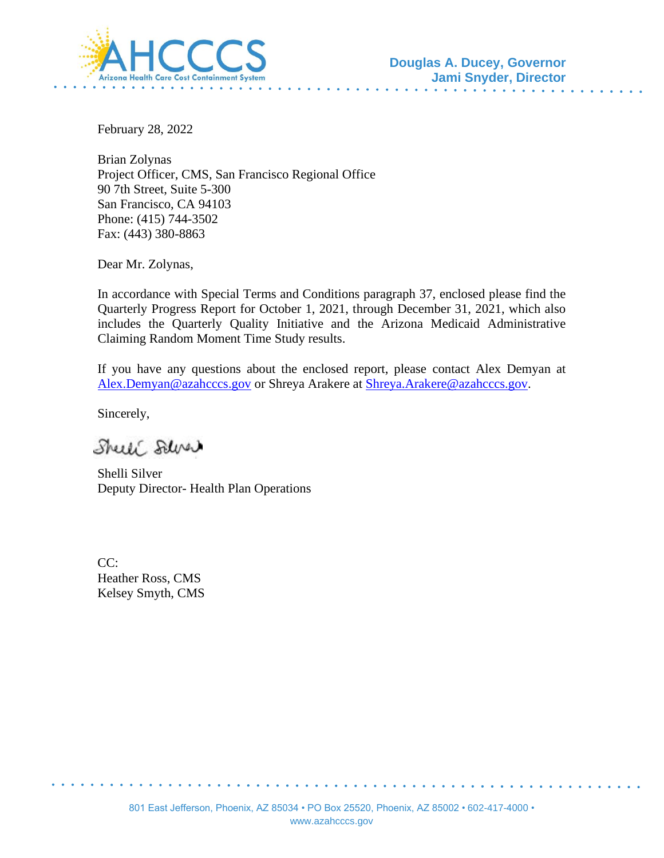

February 28, 2022

Brian Zolynas Project Officer, CMS, San Francisco Regional Office 90 7th Street, Suite 5-300 San Francisco, CA 94103 Phone: (415) 744-3502 Fax: (443) 380-8863

Dear Mr. Zolynas,

In accordance with Special Terms and Conditions paragraph 37, enclosed please find the Quarterly Progress Report for October 1, 2021, through December 31, 2021, which also includes the Quarterly Quality Initiative and the Arizona Medicaid Administrative Claiming Random Moment Time Study results.

If you have any questions about the enclosed report, please contact Alex Demyan at [Alex.Demyan@azahcccs.gov](mailto:Alex.Demyan@azahcccs.gov) or Shreya Arakere at [Shreya.Arakere@azahcccs.gov.](mailto:Shreya.Arakere@azahcccs.gov)

Sincerely,

Sheeli Selver

Shelli Silver Deputy Director- Health Plan Operations

 $CC<sup>2</sup>$ Heather Ross, CMS Kelsey Smyth, CMS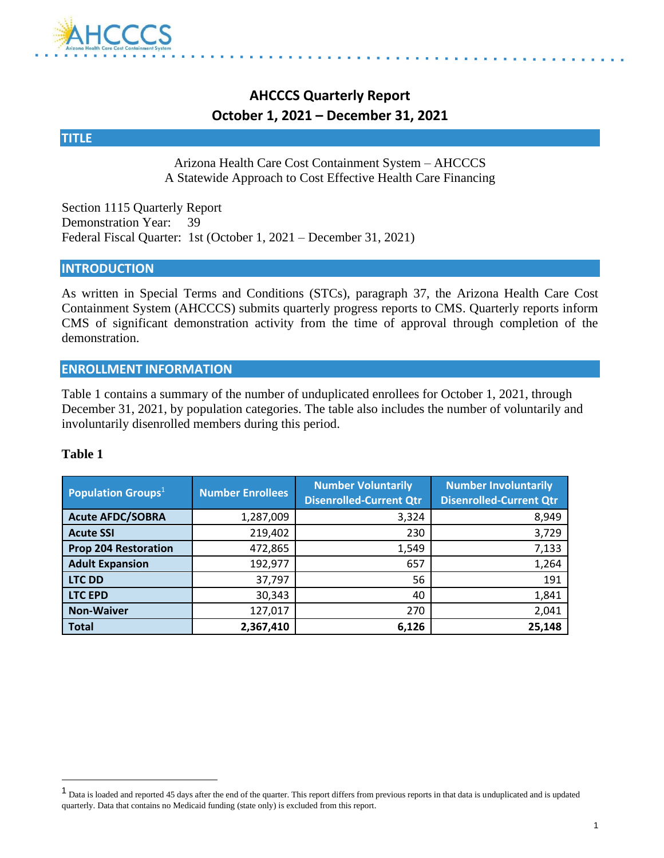

# **AHCCCS Quarterly Report October 1, 2021 – December 31, 2021**

#### **TITLE**

Arizona Health Care Cost Containment System – AHCCCS A Statewide Approach to Cost Effective Health Care Financing

Section 1115 Quarterly Report Demonstration Year: 39 Federal Fiscal Quarter: 1st (October 1, 2021 – December 31, 2021)

#### **INTRODUCTION**

As written in Special Terms and Conditions (STCs), paragraph 37, the Arizona Health Care Cost Containment System (AHCCCS) submits quarterly progress reports to CMS. Quarterly reports inform CMS of significant demonstration activity from the time of approval through completion of the demonstration.

#### **ENROLLMENT INFORMATION**

Table 1 contains a summary of the number of unduplicated enrollees for October 1, 2021, through December 31, 2021, by population categories. The table also includes the number of voluntarily and involuntarily disenrolled members during this period.

| <b>Population Groups</b> $^{1}$ | <b>Number Enrollees</b> | <b>Number Voluntarily</b><br><b>Disenrolled-Current Qtr</b> | <b>Number Involuntarily</b><br><b>Disenrolled-Current Qtr</b> |
|---------------------------------|-------------------------|-------------------------------------------------------------|---------------------------------------------------------------|
| <b>Acute AFDC/SOBRA</b>         | 1,287,009               | 3,324                                                       | 8,949                                                         |
| <b>Acute SSI</b>                | 219,402                 | 230                                                         | 3,729                                                         |
| <b>Prop 204 Restoration</b>     | 472,865                 | 1,549                                                       | 7,133                                                         |
| <b>Adult Expansion</b>          | 192,977                 | 657                                                         | 1,264                                                         |
| <b>LTC DD</b>                   | 37,797                  | 56                                                          | 191                                                           |
| <b>LTC EPD</b>                  | 30,343                  | 40                                                          | 1,841                                                         |
| <b>Non-Waiver</b>               | 127,017                 | 270                                                         | 2,041                                                         |
| <b>Total</b>                    | 2,367,410               | 6,126                                                       | 25,148                                                        |

<sup>&</sup>lt;sup>1</sup> Data is loaded and reported 45 days after the end of the quarter. This report differs from previous reports in that data is unduplicated and is updated quarterly. Data that contains no Medicaid funding (state only) is excluded from this report.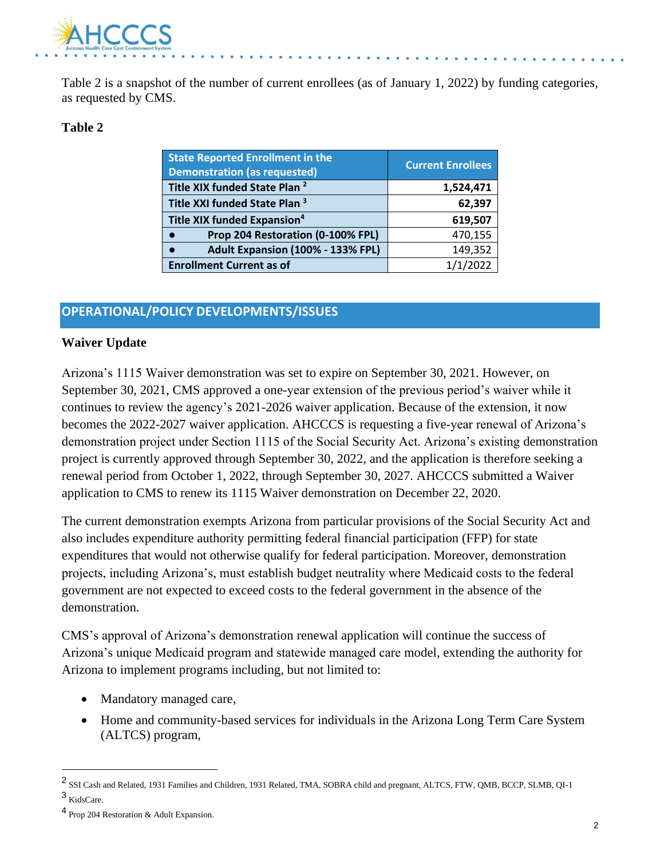

Table 2 is a snapshot of the number of current enrollees (as of January 1, 2022) by funding categories, as requested by CMS.

#### **Table 2**

| <b>State Reported Enrollment in the</b><br><b>Demonstration (as requested)</b> | <b>Current Enrollees</b> |
|--------------------------------------------------------------------------------|--------------------------|
| Title XIX funded State Plan <sup>2</sup>                                       | 1,524,471                |
| Title XXI funded State Plan <sup>3</sup>                                       | 62,397                   |
| <b>Title XIX funded Expansion<sup>4</sup></b>                                  | 619,507                  |
| Prop 204 Restoration (0-100% FPL)                                              | 470,155                  |
| Adult Expansion (100% - 133% FPL)                                              | 149,352                  |
| <b>Enrollment Current as of</b>                                                | 1/1/2022                 |

## **OPERATIONAL/POLICY DEVELOPMENTS/ISSUES**

#### **Waiver Update**

Arizona's 1115 Waiver demonstration was set to expire on September 30, 2021. However, on September 30, 2021, CMS approved a one-year extension of the previous period's waiver while it continues to review the agency's 2021-2026 waiver application. Because of the extension, it now becomes the 2022-2027 waiver application. AHCCCS is requesting a five-year renewal of Arizona's demonstration project under Section 1115 of the Social Security Act. Arizona's existing demonstration project is currently approved through September 30, 2022, and the application is therefore seeking a renewal period from October 1, 2022, through September 30, 2027. AHCCCS submitted a Waiver application to CMS to renew its 1115 Waiver demonstration on December 22, 2020.

The current demonstration exempts Arizona from particular provisions of the Social Security Act and also includes expenditure authority permitting federal financial participation (FFP) for state expenditures that would not otherwise qualify for federal participation. Moreover, demonstration projects, including Arizona's, must establish budget neutrality where Medicaid costs to the federal government are not expected to exceed costs to the federal government in the absence of the demonstration.

CMS's approval of Arizona's demonstration renewal application will continue the success of Arizona's unique Medicaid program and statewide managed care model, extending the authority for Arizona to implement programs including, but not limited to:

- Mandatory managed care,
- Home and community-based services for individuals in the Arizona Long Term Care System (ALTCS) program,

<sup>2</sup> SSI Cash and Related, 1931 Families and Children, 1931 Related, TMA, SOBRA child and pregnant, ALTCS, FTW, QMB, BCCP, SLMB, QI-1 <sup>3</sup> KidsCare.

<sup>4</sup> Prop 204 Restoration & Adult Expansion.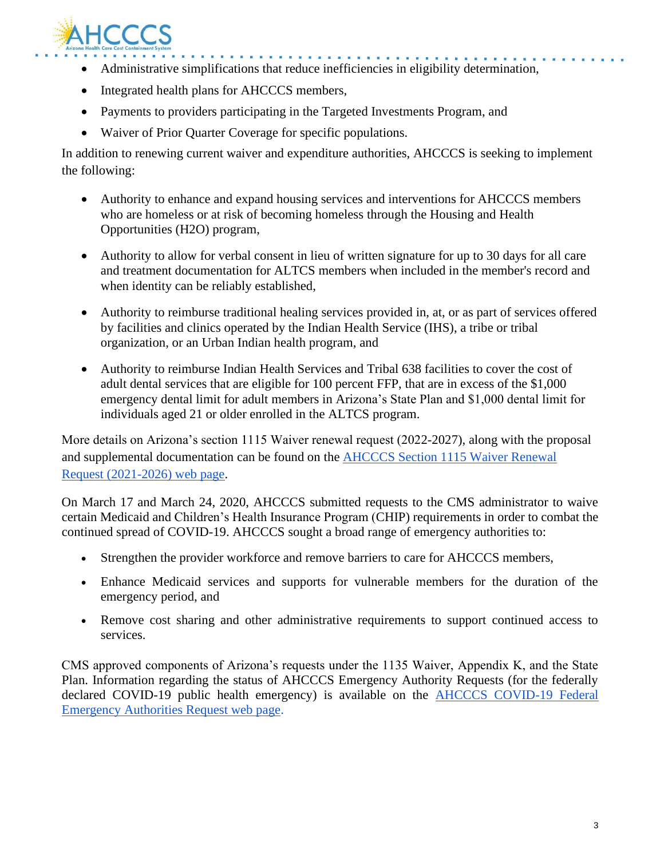

- and a straightful and • Administrative simplifications that reduce inefficiencies in eligibility determination,
- Integrated health plans for AHCCCS members,
- Payments to providers participating in the Targeted Investments Program, and
- Waiver of Prior Quarter Coverage for specific populations.

In addition to renewing current waiver and expenditure authorities, AHCCCS is seeking to implement the following:

- Authority to enhance and expand housing services and interventions for AHCCCS members who are homeless or at risk of becoming homeless through the Housing and Health Opportunities (H2O) program,
- Authority to allow for verbal consent in lieu of written signature for up to 30 days for all care and treatment documentation for ALTCS members when included in the member's record and when identity can be reliably established,
- Authority to reimburse traditional healing services provided in, at, or as part of services offered by facilities and clinics operated by the Indian Health Service (IHS), a tribe or tribal organization, or an Urban Indian health program, and
- Authority to reimburse Indian Health Services and Tribal 638 facilities to cover the cost of adult dental services that are eligible for 100 percent FFP, that are in excess of the \$1,000 emergency dental limit for adult members in Arizona's State Plan and \$1,000 dental limit for individuals aged 21 or older enrolled in the ALTCS program.

More details on Arizona's section 1115 Waiver renewal request (2022-2027), along with the proposal and supplemental documentation can be found on the [AHCCCS Section 1115 Waiver Renewal](https://azahcccs.gov/Resources/Federal/waiverrenewalrequest.html)  [Request \(2021-2026\) web page.](https://azahcccs.gov/Resources/Federal/waiverrenewalrequest.html)

On March 17 and March 24, 2020, AHCCCS submitted requests to the CMS administrator to waive certain Medicaid and Children's Health Insurance Program (CHIP) requirements in order to combat the continued spread of COVID-19. AHCCCS sought a broad range of emergency authorities to:

- Strengthen the provider workforce and remove barriers to care for AHCCCS members,
- Enhance Medicaid services and supports for vulnerable members for the duration of the emergency period, and
- Remove cost sharing and other administrative requirements to support continued access to services.

CMS approved components of Arizona's requests under the 1135 Waiver, Appendix K, and the State Plan. Information regarding the status of AHCCCS Emergency Authority Requests (for the federally declared COVID-19 public health emergency) is available on the [AHCCCS COVID-19 Federal](https://azahcccs.gov/Resources/Federal/PendingWaivers/1135.html)  [Emergency Authorities Request web page.](https://azahcccs.gov/Resources/Federal/PendingWaivers/1135.html)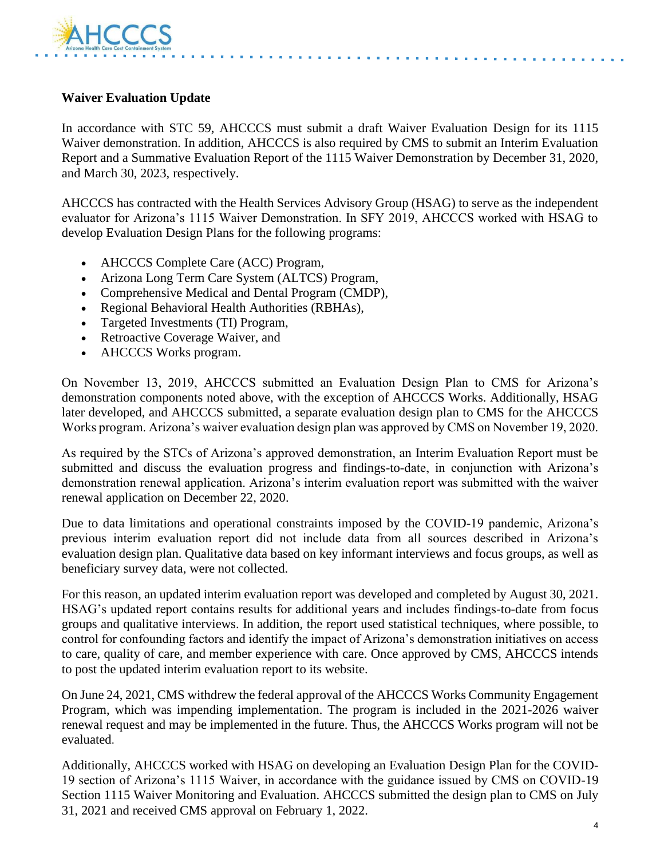

#### **Waiver Evaluation Update**

In accordance with STC 59, AHCCCS must submit a draft Waiver Evaluation Design for its 1115 Waiver demonstration. In addition, AHCCCS is also required by CMS to submit an Interim Evaluation Report and a Summative Evaluation Report of the 1115 Waiver Demonstration by December 31, 2020, and March 30, 2023, respectively.

AHCCCS has contracted with the Health Services Advisory Group (HSAG) to serve as the independent evaluator for Arizona's 1115 Waiver Demonstration. In SFY 2019, AHCCCS worked with HSAG to develop Evaluation Design Plans for the following programs:

- AHCCCS Complete Care (ACC) Program,
- Arizona Long Term Care System (ALTCS) Program,
- Comprehensive Medical and Dental Program (CMDP),
- Regional Behavioral Health Authorities (RBHAs),
- Targeted Investments (TI) Program,
- Retroactive Coverage Waiver, and
- AHCCCS Works program.

On November 13, 2019, AHCCCS submitted an Evaluation Design Plan to CMS for Arizona's demonstration components noted above, with the exception of AHCCCS Works. Additionally, HSAG later developed, and AHCCCS submitted, a separate evaluation design plan to CMS for the AHCCCS Works program. Arizona's waiver evaluation design plan was approved by CMS on November 19, 2020.

As required by the STCs of Arizona's approved demonstration, an Interim Evaluation Report must be submitted and discuss the evaluation progress and findings-to-date, in conjunction with Arizona's demonstration renewal application. Arizona's interim evaluation report was submitted with the waiver renewal application on December 22, 2020.

Due to data limitations and operational constraints imposed by the COVID-19 pandemic, Arizona's previous interim evaluation report did not include data from all sources described in Arizona's evaluation design plan. Qualitative data based on key informant interviews and focus groups, as well as beneficiary survey data, were not collected.

For this reason, an updated interim evaluation report was developed and completed by August 30, 2021. HSAG's updated report contains results for additional years and includes findings-to-date from focus groups and qualitative interviews. In addition, the report used statistical techniques, where possible, to control for confounding factors and identify the impact of Arizona's demonstration initiatives on access to care, quality of care, and member experience with care. Once approved by CMS, AHCCCS intends to post the updated interim evaluation report to its website.

On June 24, 2021, CMS withdrew the federal approval of the AHCCCS Works Community Engagement Program, which was impending implementation. The program is included in the 2021-2026 waiver renewal request and may be implemented in the future. Thus, the AHCCCS Works program will not be evaluated.

Additionally, AHCCCS worked with HSAG on developing an Evaluation Design Plan for the COVID-19 section of Arizona's 1115 Waiver, in accordance with the guidance issued by CMS on COVID-19 Section 1115 Waiver Monitoring and Evaluation. AHCCCS submitted the design plan to CMS on July 31, 2021 and received CMS approval on February 1, 2022.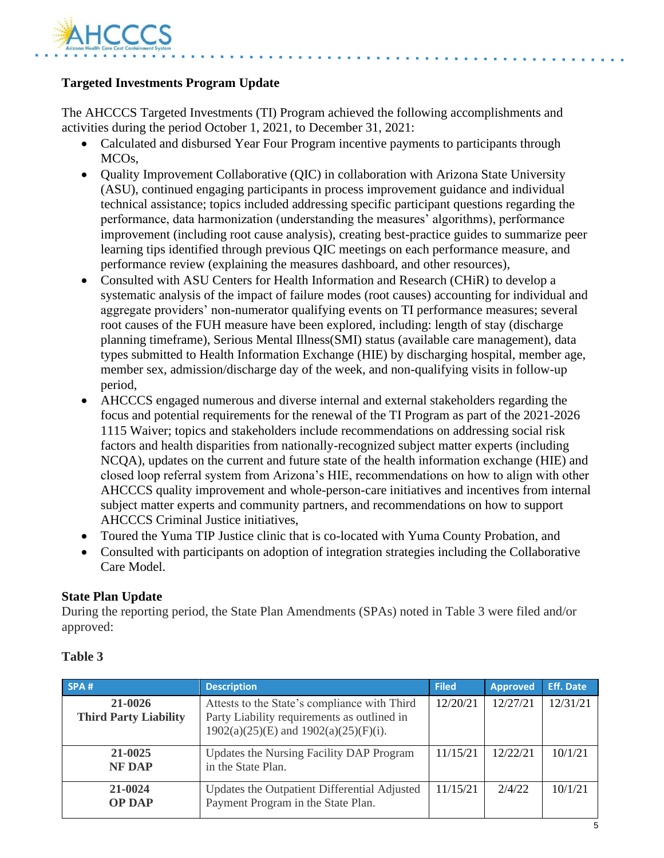

### **Targeted Investments Program Update**

The AHCCCS Targeted Investments (TI) Program achieved the following accomplishments and activities during the period October 1, 2021, to December 31, 2021:

- Calculated and disbursed Year Four Program incentive payments to participants through MCOs,
- Quality Improvement Collaborative (QIC) in collaboration with Arizona State University (ASU), continued engaging participants in process improvement guidance and individual technical assistance; topics included addressing specific participant questions regarding the performance, data harmonization (understanding the measures' algorithms), performance improvement (including root cause analysis), creating best-practice guides to summarize peer learning tips identified through previous QIC meetings on each performance measure, and performance review (explaining the measures dashboard, and other resources),
- Consulted with ASU Centers for Health Information and Research (CHiR) to develop a systematic analysis of the impact of failure modes (root causes) accounting for individual and aggregate providers' non-numerator qualifying events on TI performance measures; several root causes of the FUH measure have been explored, including: length of stay (discharge planning timeframe), Serious Mental Illness(SMI) status (available care management), data types submitted to Health Information Exchange (HIE) by discharging hospital, member age, member sex, admission/discharge day of the week, and non-qualifying visits in follow-up period,
- AHCCCS engaged numerous and diverse internal and external stakeholders regarding the focus and potential requirements for the renewal of the TI Program as part of the 2021-2026 1115 Waiver; topics and stakeholders include recommendations on addressing social risk factors and health disparities from nationally-recognized subject matter experts (including NCQA), updates on the current and future state of the health information exchange (HIE) and closed loop referral system from Arizona's HIE, recommendations on how to align with other AHCCCS quality improvement and whole-person-care initiatives and incentives from internal subject matter experts and community partners, and recommendations on how to support AHCCCS Criminal Justice initiatives,
- Toured the Yuma TIP Justice clinic that is co-located with Yuma County Probation, and
- Consulted with participants on adoption of integration strategies including the Collaborative Care Model.

#### **State Plan Update**

During the reporting period, the State Plan Amendments (SPAs) noted in Table 3 were filed and/or approved:

| SPA#                                    | <b>Description</b>                                                                                                                        | <b>Filed</b> | <b>Approved</b> | <b>Eff. Date</b> |
|-----------------------------------------|-------------------------------------------------------------------------------------------------------------------------------------------|--------------|-----------------|------------------|
| 21-0026<br><b>Third Party Liability</b> | Attests to the State's compliance with Third<br>Party Liability requirements as outlined in<br>$1902(a)(25)(E)$ and $1902(a)(25)(F)(i)$ . | 12/20/21     | 12/27/21        | 12/31/21         |
| 21-0025<br><b>NF DAP</b>                | Updates the Nursing Facility DAP Program<br>in the State Plan.                                                                            | 11/15/21     | 12/22/21        | 10/1/21          |
| 21-0024<br><b>OP DAP</b>                | Updates the Outpatient Differential Adjusted<br>Payment Program in the State Plan.                                                        | 11/15/21     | 2/4/22          | 10/1/21          |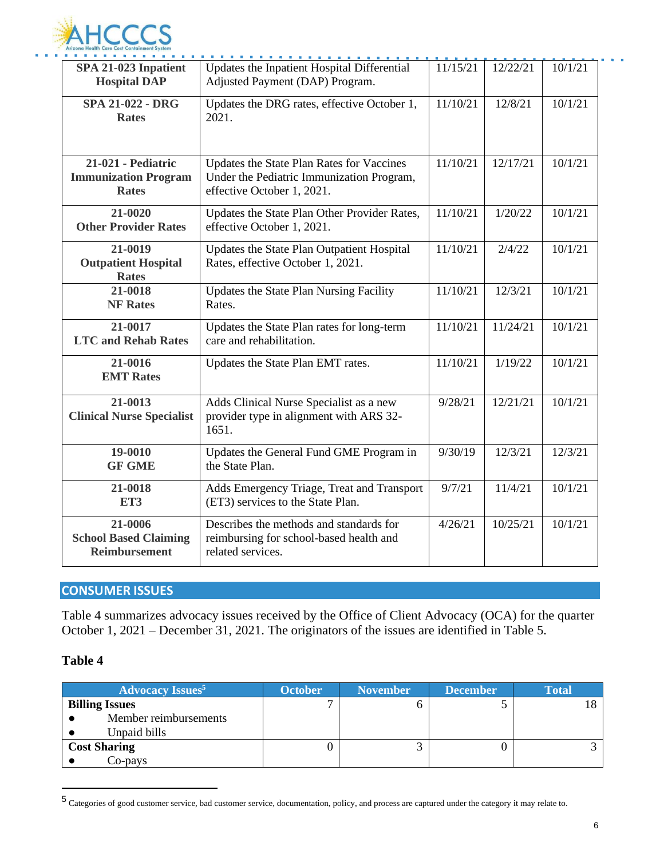

| SPA 21-023 Inpatient<br><b>Hospital DAP</b>                       | Updates the Inpatient Hospital Differential<br>Adjusted Payment (DAP) Program.                                       | 11/15/21 | 12/22/21 | 10/1/21 |
|-------------------------------------------------------------------|----------------------------------------------------------------------------------------------------------------------|----------|----------|---------|
| <b>SPA 21-022 - DRG</b><br><b>Rates</b>                           | Updates the DRG rates, effective October 1,<br>2021.                                                                 | 11/10/21 | 12/8/21  | 10/1/21 |
| 21-021 - Pediatric<br><b>Immunization Program</b><br><b>Rates</b> | Updates the State Plan Rates for Vaccines<br>Under the Pediatric Immunization Program,<br>effective October 1, 2021. | 11/10/21 | 12/17/21 | 10/1/21 |
| 21-0020<br><b>Other Provider Rates</b>                            | Updates the State Plan Other Provider Rates,<br>effective October 1, 2021.                                           | 11/10/21 | 1/20/22  | 10/1/21 |
| 21-0019<br><b>Outpatient Hospital</b><br><b>Rates</b>             | Updates the State Plan Outpatient Hospital<br>Rates, effective October 1, 2021.                                      | 11/10/21 | 2/4/22   | 10/1/21 |
| 21-0018<br><b>NF Rates</b>                                        | <b>Updates the State Plan Nursing Facility</b><br>Rates.                                                             | 11/10/21 | 12/3/21  | 10/1/21 |
| 21-0017<br><b>LTC and Rehab Rates</b>                             | Updates the State Plan rates for long-term<br>care and rehabilitation.                                               | 11/10/21 | 11/24/21 | 10/1/21 |
| 21-0016<br><b>EMT</b> Rates                                       | Updates the State Plan EMT rates.                                                                                    | 11/10/21 | 1/19/22  | 10/1/21 |
| 21-0013<br><b>Clinical Nurse Specialist</b>                       | Adds Clinical Nurse Specialist as a new<br>provider type in alignment with ARS 32-<br>1651.                          | 9/28/21  | 12/21/21 | 10/1/21 |
| 19-0010<br><b>GF GME</b>                                          | Updates the General Fund GME Program in<br>the State Plan.                                                           | 9/30/19  | 12/3/21  | 12/3/21 |
| 21-0018<br>ET3                                                    | Adds Emergency Triage, Treat and Transport<br>(ET3) services to the State Plan.                                      | 9/7/21   | 11/4/21  | 10/1/21 |
| 21-0006<br><b>School Based Claiming</b><br><b>Reimbursement</b>   | Describes the methods and standards for<br>reimbursing for school-based health and<br>related services.              | 4/26/21  | 10/25/21 | 10/1/21 |

### **CONSUMER ISSUES**

Table 4 summarizes advocacy issues received by the Office of Client Advocacy (OCA) for the quarter October 1, 2021 – December 31, 2021. The originators of the issues are identified in Table 5.

| <b>Advocacy Issues</b> <sup>5</sup> | <b>October</b> | <b>November</b> | <b>December</b> | <b>Total</b> |
|-------------------------------------|----------------|-----------------|-----------------|--------------|
| <b>Billing Issues</b>               |                |                 |                 |              |
| Member reimbursements               |                |                 |                 |              |
| Unpaid bills                        |                |                 |                 |              |
| <b>Cost Sharing</b>                 |                |                 |                 |              |
| Co-pays                             |                |                 |                 |              |

<sup>5</sup> Categories of good customer service, bad customer service, documentation, policy, and process are captured under the category it may relate to.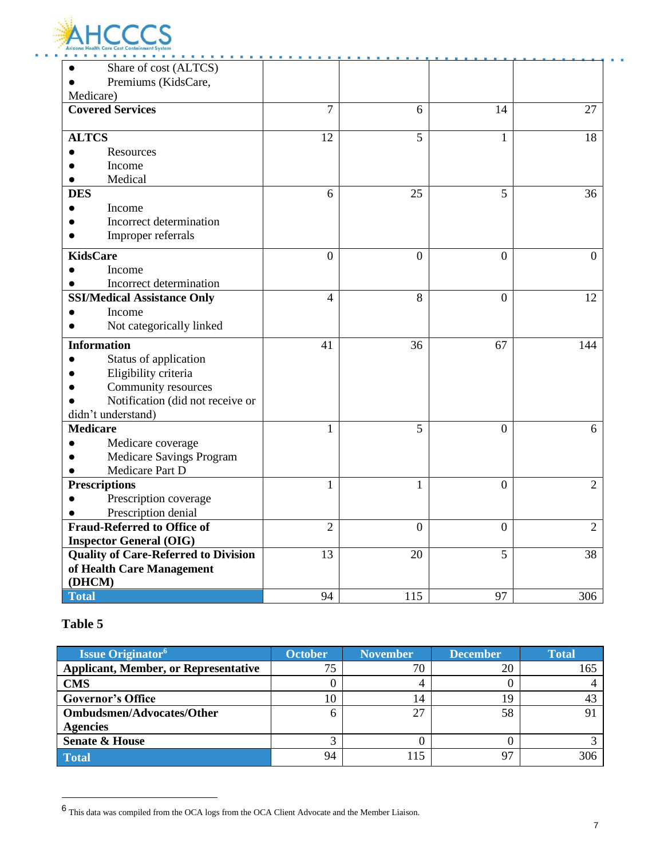

| .<br>Share of cost (ALTCS)                  |                |              |                  |                |
|---------------------------------------------|----------------|--------------|------------------|----------------|
| Premiums (KidsCare,<br>Medicare)            |                |              |                  |                |
| <b>Covered Services</b>                     | 7              | 6            | 14               | 27             |
|                                             |                |              |                  |                |
| <b>ALTCS</b>                                | 12             | 5            | 1                | 18             |
| Resources                                   |                |              |                  |                |
| Income                                      |                |              |                  |                |
| Medical                                     |                |              |                  |                |
| <b>DES</b>                                  | 6              | 25           | 5                | 36             |
| Income                                      |                |              |                  |                |
| Incorrect determination                     |                |              |                  |                |
| Improper referrals                          |                |              |                  |                |
| <b>KidsCare</b>                             | $\overline{0}$ | $\Omega$     | $\overline{0}$   | $\theta$       |
| Income                                      |                |              |                  |                |
| Incorrect determination                     |                |              |                  |                |
| <b>SSI/Medical Assistance Only</b>          | 4              | 8            | $\theta$         | 12             |
| Income                                      |                |              |                  |                |
| Not categorically linked                    |                |              |                  |                |
| <b>Information</b>                          | 41             | 36           | 67               | 144            |
| Status of application                       |                |              |                  |                |
| Eligibility criteria                        |                |              |                  |                |
| Community resources                         |                |              |                  |                |
| Notification (did not receive or            |                |              |                  |                |
| didn't understand)                          |                |              |                  |                |
| <b>Medicare</b>                             | $\mathbf{1}$   | 5            | $\overline{0}$   | 6              |
| Medicare coverage                           |                |              |                  |                |
| Medicare Savings Program                    |                |              |                  |                |
| Medicare Part D                             |                |              |                  |                |
| <b>Prescriptions</b>                        | 1              | 1            | $\overline{0}$   | $\overline{2}$ |
| Prescription coverage                       |                |              |                  |                |
| Prescription denial                         |                |              |                  |                |
| <b>Fraud-Referred to Office of</b>          | $\overline{2}$ | $\mathbf{0}$ | $\boldsymbol{0}$ | $\overline{2}$ |
| <b>Inspector General (OIG)</b>              |                |              |                  |                |
| <b>Quality of Care-Referred to Division</b> | 13             | 20           | 5                | 38             |
| of Health Care Management                   |                |              |                  |                |
| (DHCM)                                      |                |              |                  |                |
| <b>Total</b>                                | 94             | 115          | 97               | 306            |

| <b>Issue Originator</b> <sup>6</sup>        | <b>October</b> | <b>November</b> | <b>December</b> | <b>Total</b> |
|---------------------------------------------|----------------|-----------------|-----------------|--------------|
| <b>Applicant, Member, or Representative</b> |                | 70              | 20              | 165          |
| <b>CMS</b>                                  |                |                 |                 |              |
| <b>Governor's Office</b>                    |                | 14              | 19              |              |
| <b>Ombudsmen/Advocates/Other</b>            |                | 27              | 58              |              |
| <b>Agencies</b>                             |                |                 |                 |              |
| <b>Senate &amp; House</b>                   |                |                 |                 |              |
| <b>Total</b>                                | 94             |                 | 97              | 306          |

<sup>6</sup> This data was compiled from the OCA logs from the OCA Client Advocate and the Member Liaison.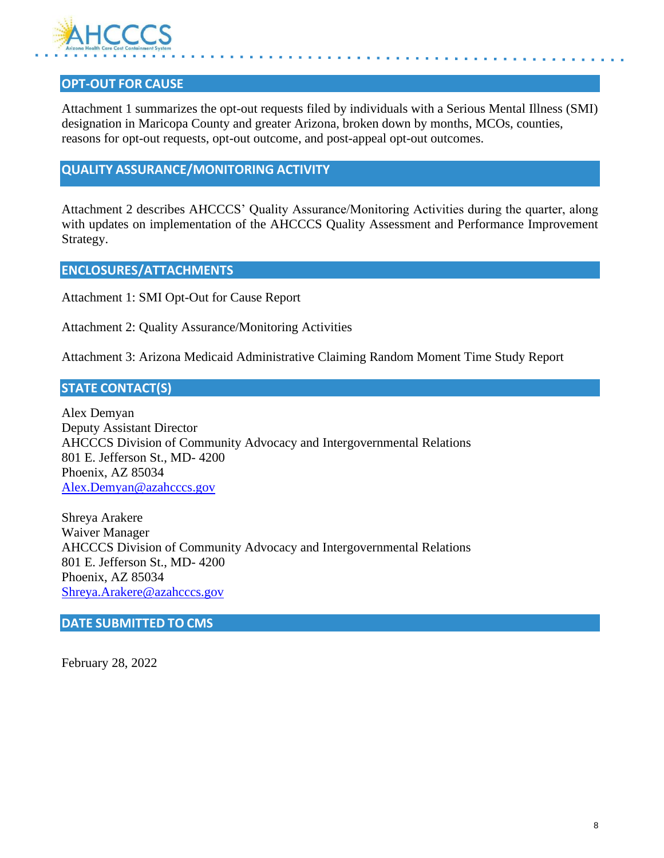

### **OPT-OUT FOR CAUSE**

Attachment 1 summarizes the opt-out requests filed by individuals with a Serious Mental Illness (SMI) designation in Maricopa County and greater Arizona, broken down by months, MCOs, counties, reasons for opt-out requests, opt-out outcome, and post-appeal opt-out outcomes.

### **QUALITY ASSURANCE/MONITORING ACTIVITY**

Attachment 2 describes AHCCCS' Quality Assurance/Monitoring Activities during the quarter, along with updates on implementation of the AHCCCS Quality Assessment and Performance Improvement Strategy.

#### **ENCLOSURES/ATTACHMENTS**

Attachment 1: SMI Opt-Out for Cause Report

Attachment 2: Quality Assurance/Monitoring Activities

Attachment 3: Arizona Medicaid Administrative Claiming Random Moment Time Study Report

### **STATE CONTACT(S)**

Alex Demyan Deputy Assistant Director AHCCCS Division of Community Advocacy and Intergovernmental Relations 801 E. Jefferson St., MD- 4200 Phoenix, AZ 85034 [Alex.Demyan@azahcccs.gov](mailto:Alex.Demyan@azahcccs.gov)

Shreya Arakere Waiver Manager AHCCCS Division of Community Advocacy and Intergovernmental Relations 801 E. Jefferson St., MD- 4200 Phoenix, AZ 85034 [Shreya.Arakere@azahcccs.gov](mailto:Shreya.Arakere@azahcccs.gov)

#### **DATE SUBMITTED TO CMS**

February 28, 2022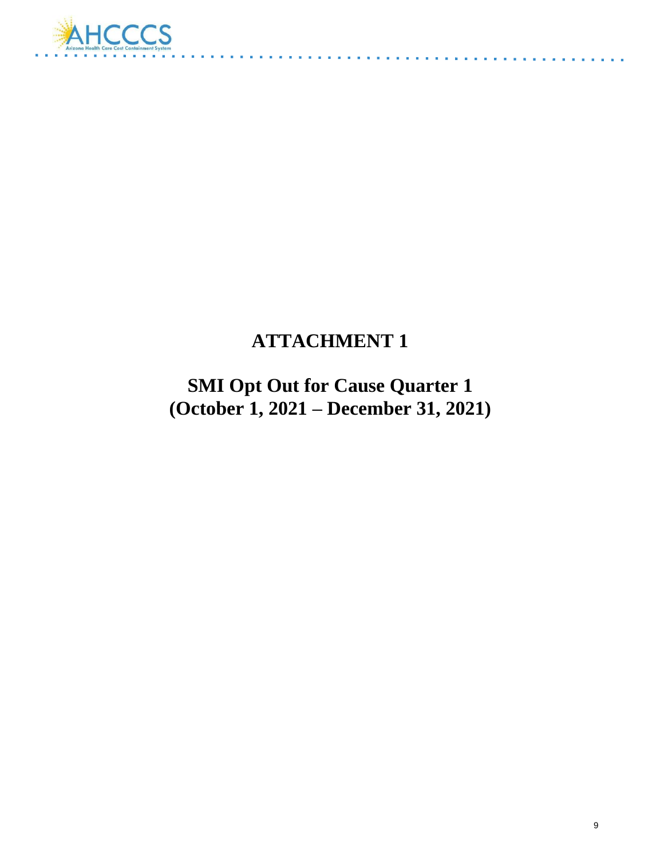

# **ATTACHMENT 1**

 $\alpha$  ,  $\alpha$  ,  $\alpha$  ,  $\alpha$ 

**SMI Opt Out for Cause Quarter 1 (October 1, 2021 – December 31, 2021)**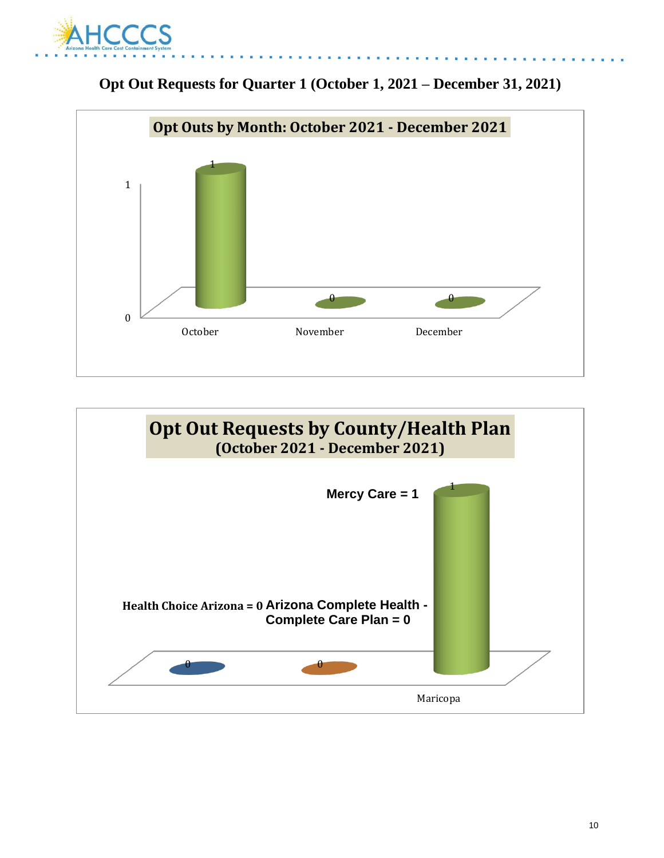





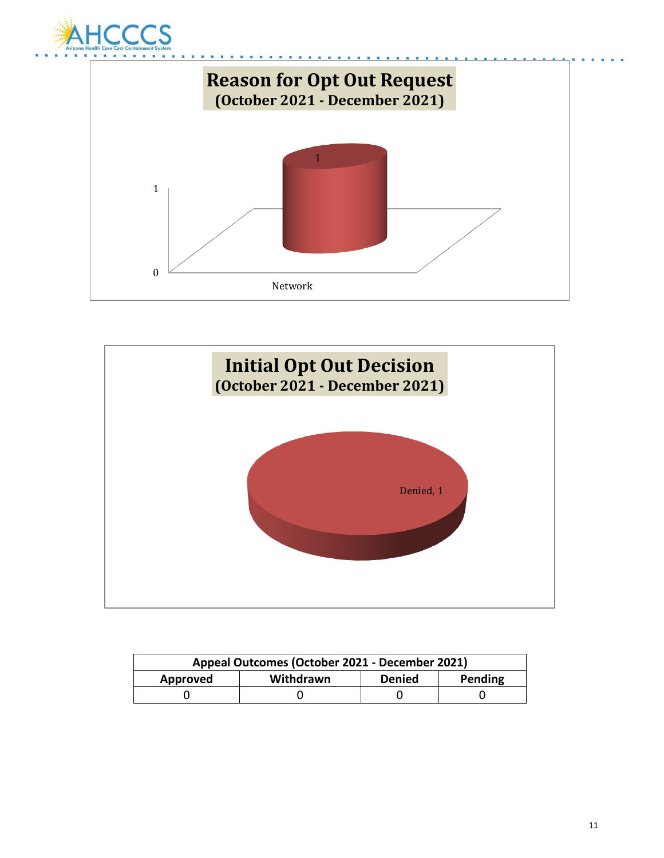





| Appeal Outcomes (October 2021 - December 2021)    |  |  |  |
|---------------------------------------------------|--|--|--|
| Withdrawn<br>Pending<br><b>Denied</b><br>Approved |  |  |  |
|                                                   |  |  |  |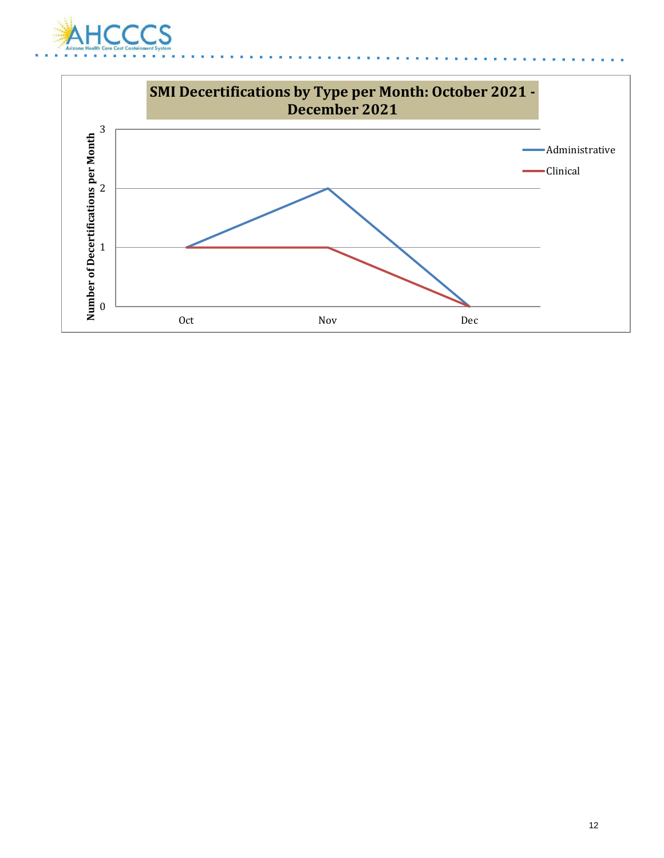

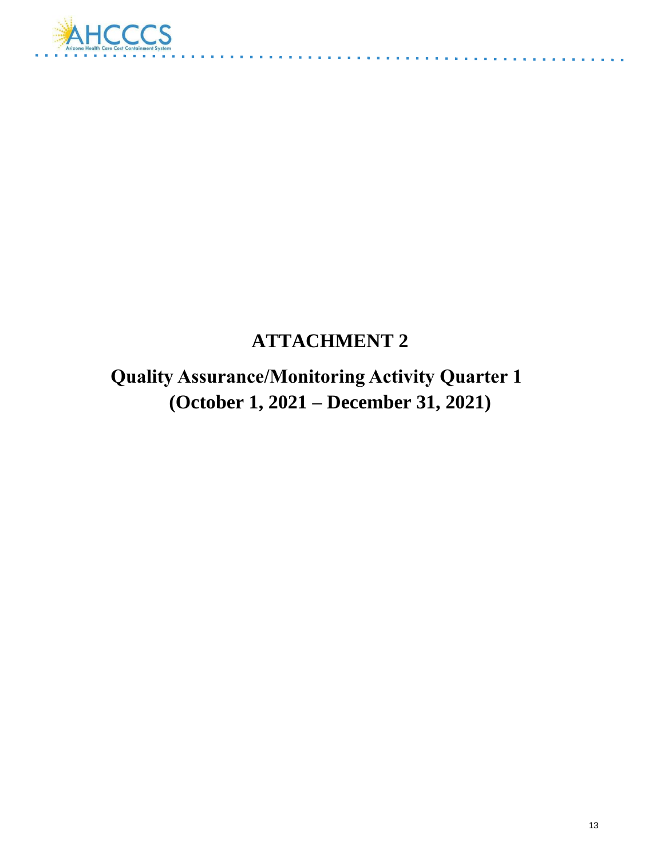

# **ATTACHMENT 2**

and a cold

 **Quality Assurance/Monitoring Activity Quarter 1 (October 1, 2021 – December 31, 2021)**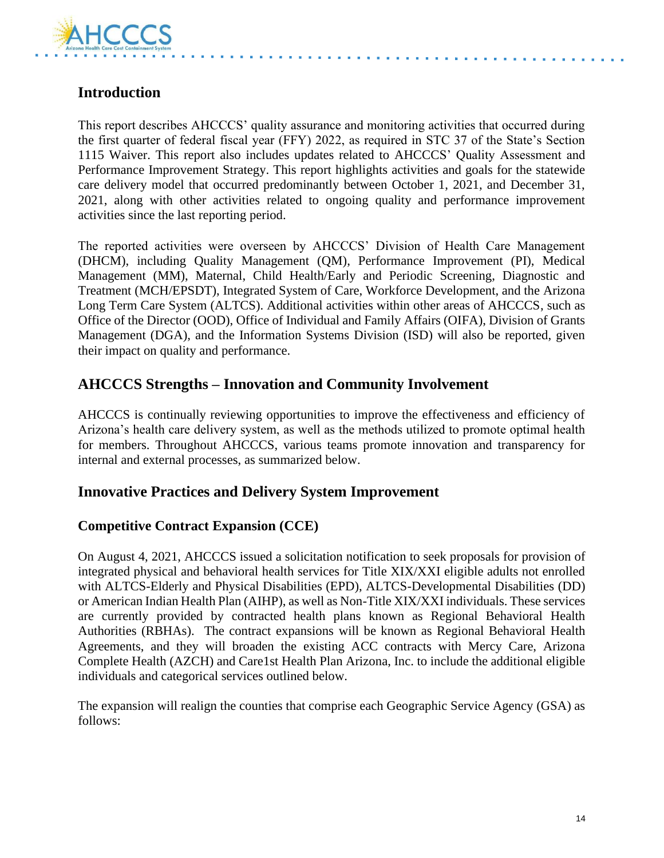

# **Introduction**

This report describes AHCCCS' quality assurance and monitoring activities that occurred during the first quarter of federal fiscal year (FFY) 2022, as required in STC 37 of the State's Section 1115 Waiver. This report also includes updates related to AHCCCS' Quality Assessment and Performance Improvement Strategy. This report highlights activities and goals for the statewide care delivery model that occurred predominantly between October 1, 2021, and December 31, 2021, along with other activities related to ongoing quality and performance improvement activities since the last reporting period.

The reported activities were overseen by AHCCCS' Division of Health Care Management (DHCM), including Quality Management (QM), Performance Improvement (PI), Medical Management (MM), Maternal, Child Health/Early and Periodic Screening, Diagnostic and Treatment (MCH/EPSDT), Integrated System of Care, Workforce Development, and the Arizona Long Term Care System (ALTCS). Additional activities within other areas of AHCCCS, such as Office of the Director (OOD), Office of Individual and Family Affairs (OIFA), Division of Grants Management (DGA), and the Information Systems Division (ISD) will also be reported, given their impact on quality and performance.

### **AHCCCS Strengths – Innovation and Community Involvement**

AHCCCS is continually reviewing opportunities to improve the effectiveness and efficiency of Arizona's health care delivery system, as well as the methods utilized to promote optimal health for members. Throughout AHCCCS, various teams promote innovation and transparency for internal and external processes, as summarized below.

### **Innovative Practices and Delivery System Improvement**

#### **Competitive Contract Expansion (CCE)**

On August 4, 2021, AHCCCS issued a solicitation notification to seek proposals for provision of integrated physical and behavioral health services for Title XIX/XXI eligible adults not enrolled with ALTCS-Elderly and Physical Disabilities (EPD), ALTCS-Developmental Disabilities (DD) or American Indian Health Plan (AIHP), as well as Non-Title XIX/XXI individuals. These services are currently provided by contracted health plans known as Regional Behavioral Health Authorities (RBHAs). The contract expansions will be known as Regional Behavioral Health Agreements, and they will broaden the existing ACC contracts with Mercy Care, Arizona Complete Health (AZCH) and Care1st Health Plan Arizona, Inc. to include the additional eligible individuals and categorical services outlined below.

The expansion will realign the counties that comprise each Geographic Service Agency (GSA) as follows: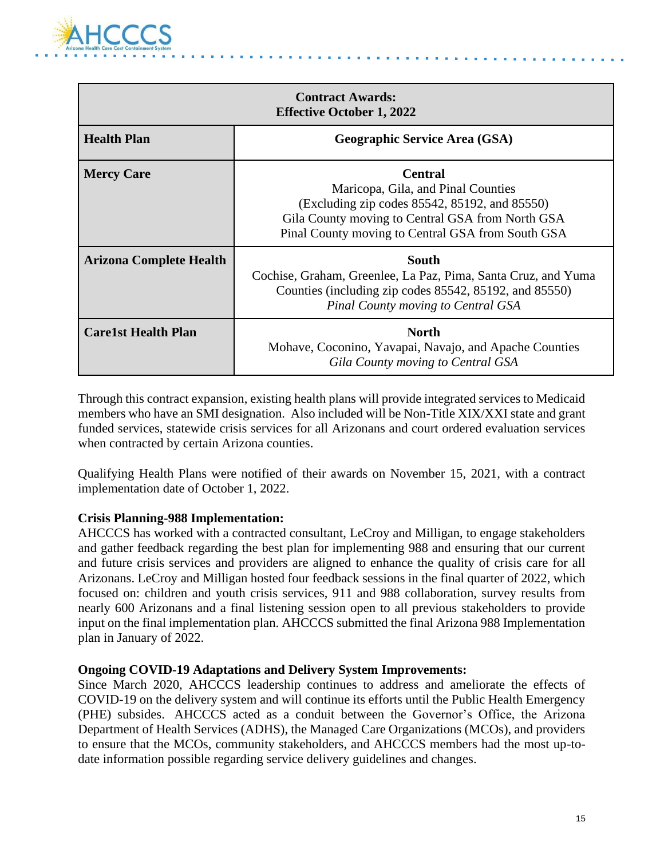

| <b>Contract Awards:</b><br><b>Effective October 1, 2022</b> |                                                                                                                                                                                                                |  |  |
|-------------------------------------------------------------|----------------------------------------------------------------------------------------------------------------------------------------------------------------------------------------------------------------|--|--|
| <b>Health Plan</b>                                          | <b>Geographic Service Area (GSA)</b>                                                                                                                                                                           |  |  |
| <b>Mercy Care</b>                                           | <b>Central</b><br>Maricopa, Gila, and Pinal Counties<br>(Excluding zip codes 85542, 85192, and 85550)<br>Gila County moving to Central GSA from North GSA<br>Pinal County moving to Central GSA from South GSA |  |  |
| <b>Arizona Complete Health</b>                              | <b>South</b><br>Cochise, Graham, Greenlee, La Paz, Pima, Santa Cruz, and Yuma<br>Counties (including zip codes 85542, 85192, and 85550)<br><b>Pinal County moving to Central GSA</b>                           |  |  |
| <b>Care1st Health Plan</b>                                  | <b>North</b><br>Mohave, Coconino, Yavapai, Navajo, and Apache Counties<br>Gila County moving to Central GSA                                                                                                    |  |  |

Through this contract expansion, existing health plans will provide integrated services to Medicaid members who have an SMI designation. Also included will be Non-Title XIX/XXI state and grant funded services, statewide crisis services for all Arizonans and court ordered evaluation services when contracted by certain Arizona counties.

Qualifying Health Plans were notified of their awards on November 15, 2021, with a contract implementation date of October 1, 2022.

#### **Crisis Planning-988 Implementation:**

AHCCCS has worked with a contracted consultant, LeCroy and Milligan, to engage stakeholders and gather feedback regarding the best plan for implementing 988 and ensuring that our current and future crisis services and providers are aligned to enhance the quality of crisis care for all Arizonans. LeCroy and Milligan hosted four feedback sessions in the final quarter of 2022, which focused on: children and youth crisis services, 911 and 988 collaboration, survey results from nearly 600 Arizonans and a final listening session open to all previous stakeholders to provide input on the final implementation plan. AHCCCS submitted the final Arizona 988 Implementation plan in January of 2022.

#### **Ongoing COVID-19 Adaptations and Delivery System Improvements:**

Since March 2020, AHCCCS leadership continues to address and ameliorate the effects of COVID-19 on the delivery system and will continue its efforts until the Public Health Emergency (PHE) subsides. AHCCCS acted as a conduit between the Governor's Office, the Arizona Department of Health Services (ADHS), the Managed Care Organizations (MCOs), and providers to ensure that the MCOs, community stakeholders, and AHCCCS members had the most up-todate information possible regarding service delivery guidelines and changes.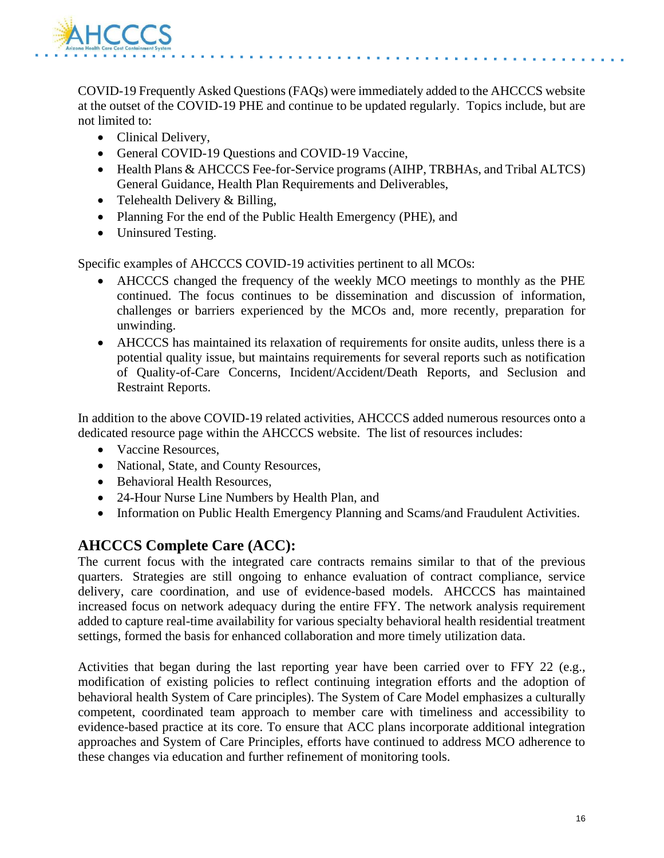

COVID-19 Frequently Asked Questions (FAQs) were immediately added to the AHCCCS website at the outset of the COVID-19 PHE and continue to be updated regularly. Topics include, but are not limited to:

- Clinical Delivery,
- General COVID-19 Questions and COVID-19 Vaccine,
- Health Plans & AHCCCS Fee-for-Service programs (AIHP, TRBHAs, and Tribal ALTCS) General Guidance, Health Plan Requirements and Deliverables,
- Telehealth Delivery & Billing,
- Planning For the end of the Public Health Emergency (PHE), and
- Uninsured Testing.

Specific examples of AHCCCS COVID-19 activities pertinent to all MCOs:

- AHCCCS changed the frequency of the weekly MCO meetings to monthly as the PHE continued. The focus continues to be dissemination and discussion of information, challenges or barriers experienced by the MCOs and, more recently, preparation for unwinding.
- AHCCCS has maintained its relaxation of requirements for onsite audits, unless there is a potential quality issue, but maintains requirements for several reports such as notification of Quality-of-Care Concerns, Incident/Accident/Death Reports, and Seclusion and Restraint Reports.

In addition to the above COVID-19 related activities, AHCCCS added numerous resources onto a dedicated resource page within the AHCCCS website. The list of resources includes:

- Vaccine Resources,
- National, State, and County Resources,
- Behavioral Health Resources,
- 24-Hour Nurse Line Numbers by Health Plan, and
- Information on Public Health Emergency Planning and Scams/and Fraudulent Activities.

# **AHCCCS Complete Care (ACC):**

The current focus with the integrated care contracts remains similar to that of the previous quarters. Strategies are still ongoing to enhance evaluation of contract compliance, service delivery, care coordination, and use of evidence-based models. AHCCCS has maintained increased focus on network adequacy during the entire FFY. The network analysis requirement added to capture real-time availability for various specialty behavioral health residential treatment settings, formed the basis for enhanced collaboration and more timely utilization data.

Activities that began during the last reporting year have been carried over to FFY 22 (e.g., modification of existing policies to reflect continuing integration efforts and the adoption of behavioral health System of Care principles). The System of Care Model emphasizes a culturally competent, coordinated team approach to member care with timeliness and accessibility to evidence-based practice at its core. To ensure that ACC plans incorporate additional integration approaches and System of Care Principles, efforts have continued to address MCO adherence to these changes via education and further refinement of monitoring tools.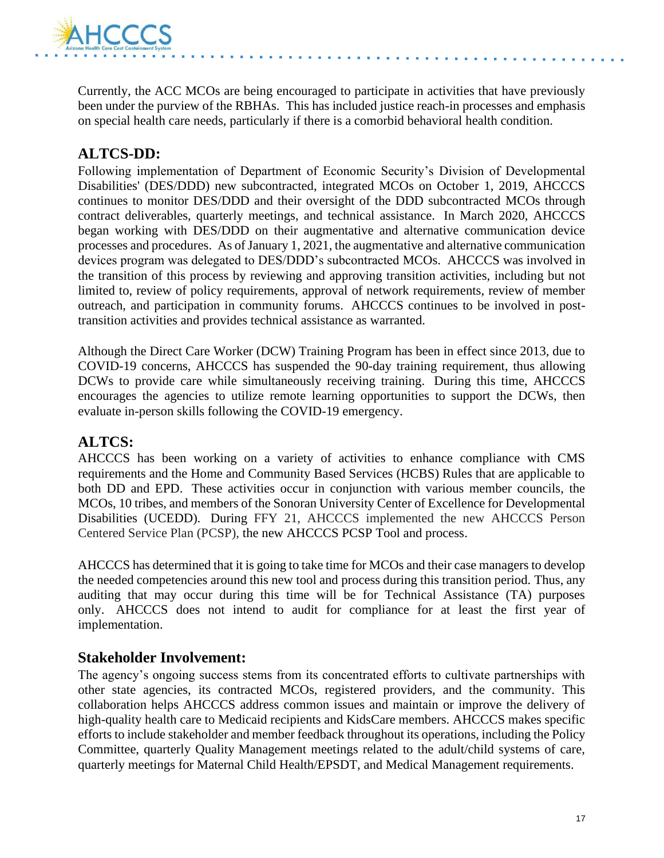

Currently, the ACC MCOs are being encouraged to participate in activities that have previously been under the purview of the RBHAs. This has included justice reach-in processes and emphasis on special health care needs, particularly if there is a comorbid behavioral health condition.

# **ALTCS-DD:**

Following implementation of Department of Economic Security's Division of Developmental Disabilities' (DES/DDD) new subcontracted, integrated MCOs on October 1, 2019, AHCCCS continues to monitor DES/DDD and their oversight of the DDD subcontracted MCOs through contract deliverables, quarterly meetings, and technical assistance. In March 2020, AHCCCS began working with DES/DDD on their augmentative and alternative communication device processes and procedures. As of January 1, 2021, the augmentative and alternative communication devices program was delegated to DES/DDD's subcontracted MCOs. AHCCCS was involved in the transition of this process by reviewing and approving transition activities, including but not limited to, review of policy requirements, approval of network requirements, review of member outreach, and participation in community forums. AHCCCS continues to be involved in posttransition activities and provides technical assistance as warranted.

Although the Direct Care Worker (DCW) Training Program has been in effect since 2013, due to COVID-19 concerns, AHCCCS has suspended the 90-day training requirement, thus allowing DCWs to provide care while simultaneously receiving training. During this time, AHCCCS encourages the agencies to utilize remote learning opportunities to support the DCWs, then evaluate in-person skills following the COVID-19 emergency.

# **ALTCS:**

AHCCCS has been working on a variety of activities to enhance compliance with CMS requirements and the Home and Community Based Services (HCBS) Rules that are applicable to both DD and EPD. These activities occur in conjunction with various member councils, the MCOs, 10 tribes, and members of the Sonoran University Center of Excellence for Developmental Disabilities (UCEDD). During FFY 21, AHCCCS implemented the new AHCCCS Person Centered Service Plan (PCSP), the new AHCCCS PCSP Tool and process.

AHCCCS has determined that it is going to take time for MCOs and their case managers to develop the needed competencies around this new tool and process during this transition period. Thus, any auditing that may occur during this time will be for Technical Assistance (TA) purposes only. AHCCCS does not intend to audit for compliance for at least the first year of implementation.

### **Stakeholder Involvement:**

The agency's ongoing success stems from its concentrated efforts to cultivate partnerships with other state agencies, its contracted MCOs, registered providers, and the community. This collaboration helps AHCCCS address common issues and maintain or improve the delivery of high-quality health care to Medicaid recipients and KidsCare members. AHCCCS makes specific efforts to include stakeholder and member feedback throughout its operations, including the Policy Committee, quarterly Quality Management meetings related to the adult/child systems of care, quarterly meetings for Maternal Child Health/EPSDT, and Medical Management requirements.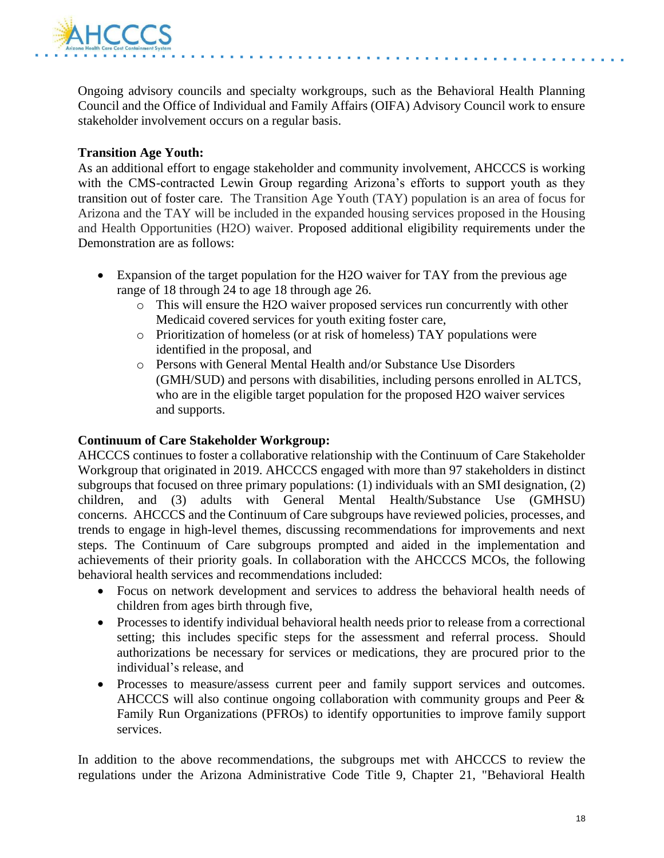

Ongoing advisory councils and specialty workgroups, such as the Behavioral Health Planning Council and the Office of Individual and Family Affairs (OIFA) Advisory Council work to ensure stakeholder involvement occurs on a regular basis.

#### **Transition Age Youth:**

As an additional effort to engage stakeholder and community involvement, AHCCCS is working with the CMS-contracted Lewin Group regarding Arizona's efforts to support youth as they transition out of foster care. The Transition Age Youth (TAY) population is an area of focus for Arizona and the TAY will be included in the expanded housing services proposed in the Housing and Health Opportunities (H2O) waiver. Proposed additional eligibility requirements under the Demonstration are as follows:

- Expansion of the target population for the H2O waiver for TAY from the previous age range of 18 through 24 to age 18 through age 26.
	- o This will ensure the H2O waiver proposed services run concurrently with other Medicaid covered services for youth exiting foster care,
	- o Prioritization of homeless (or at risk of homeless) TAY populations were identified in the proposal, and
	- o Persons with General Mental Health and/or Substance Use Disorders (GMH/SUD) and persons with disabilities, including persons enrolled in ALTCS, who are in the eligible target population for the proposed H2O waiver services and supports.

#### **Continuum of Care Stakeholder Workgroup:**

AHCCCS continues to foster a collaborative relationship with the Continuum of Care Stakeholder Workgroup that originated in 2019. AHCCCS engaged with more than 97 stakeholders in distinct subgroups that focused on three primary populations: (1) individuals with an SMI designation, (2) children, and (3) adults with General Mental Health/Substance Use (GMHSU) concerns. AHCCCS and the Continuum of Care subgroups have reviewed policies, processes, and trends to engage in high-level themes, discussing recommendations for improvements and next steps. The Continuum of Care subgroups prompted and aided in the implementation and achievements of their priority goals. In collaboration with the AHCCCS MCOs, the following behavioral health services and recommendations included:

- Focus on network development and services to address the behavioral health needs of children from ages birth through five,
- Processes to identify individual behavioral health needs prior to release from a correctional setting; this includes specific steps for the assessment and referral process. Should authorizations be necessary for services or medications, they are procured prior to the individual's release, and
- Processes to measure/assess current peer and family support services and outcomes. AHCCCS will also continue ongoing collaboration with community groups and Peer & Family Run Organizations (PFROs) to identify opportunities to improve family support services.

In addition to the above recommendations, the subgroups met with AHCCCS to review the regulations under the Arizona Administrative Code Title 9, Chapter 21, "Behavioral Health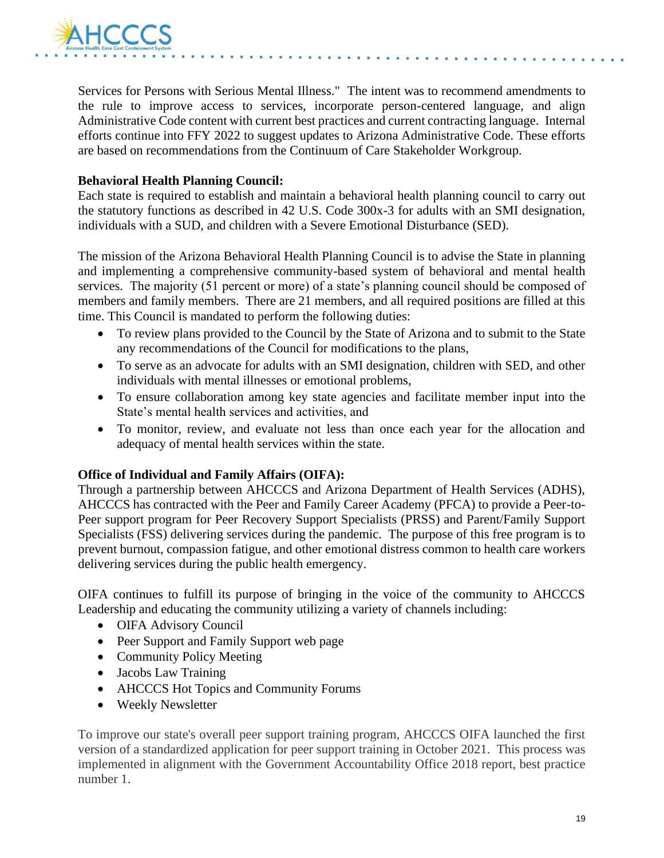

Services for Persons with Serious Mental Illness." The intent was to recommend amendments to the rule to improve access to services, incorporate person-centered language, and align Administrative Code content with current best practices and current contracting language. Internal efforts continue into FFY 2022 to suggest updates to Arizona Administrative Code. These efforts are based on recommendations from the Continuum of Care Stakeholder Workgroup.

#### **Behavioral Health Planning Council:**

Each state is required to establish and maintain a behavioral health planning council to carry out the statutory functions as described in 42 U.S. Code 300x-3 for adults with an SMI designation, individuals with a SUD, and children with a Severe Emotional Disturbance (SED).

The mission of the Arizona Behavioral Health Planning Council is to advise the State in planning and implementing a comprehensive community-based system of behavioral and mental health services. The majority (51 percent or more) of a state's planning council should be composed of members and family members. There are 21 members, and all required positions are filled at this time. This Council is mandated to perform the following duties:

- To review plans provided to the Council by the State of Arizona and to submit to the State any recommendations of the Council for modifications to the plans,
- To serve as an advocate for adults with an SMI designation, children with SED, and other individuals with mental illnesses or emotional problems,
- To ensure collaboration among key state agencies and facilitate member input into the State's mental health services and activities, and
- To monitor, review, and evaluate not less than once each year for the allocation and adequacy of mental health services within the state.

#### **Office of Individual and Family Affairs (OIFA):**

Through a partnership between AHCCCS and Arizona Department of Health Services (ADHS), AHCCCS has contracted with the Peer and Family Career Academy (PFCA) to provide a Peer-to-Peer support program for Peer Recovery Support Specialists (PRSS) and Parent/Family Support Specialists (FSS) delivering services during the pandemic. The purpose of this free program is to prevent burnout, compassion fatigue, and other emotional distress common to health care workers delivering services during the public health emergency.

OIFA continues to fulfill its purpose of bringing in the voice of the community to AHCCCS Leadership and educating the community utilizing a variety of channels including:

- OIFA Advisory Council
- Peer Support and Family Support web page
- Community Policy Meeting
- Jacobs Law Training
- AHCCCS Hot Topics and Community Forums
- Weekly Newsletter

To improve our state's overall peer support training program, AHCCCS OIFA launched the first version of a standardized application for peer support training in October 2021. This process was implemented in alignment with the Government Accountability Office 2018 report, best practice number 1.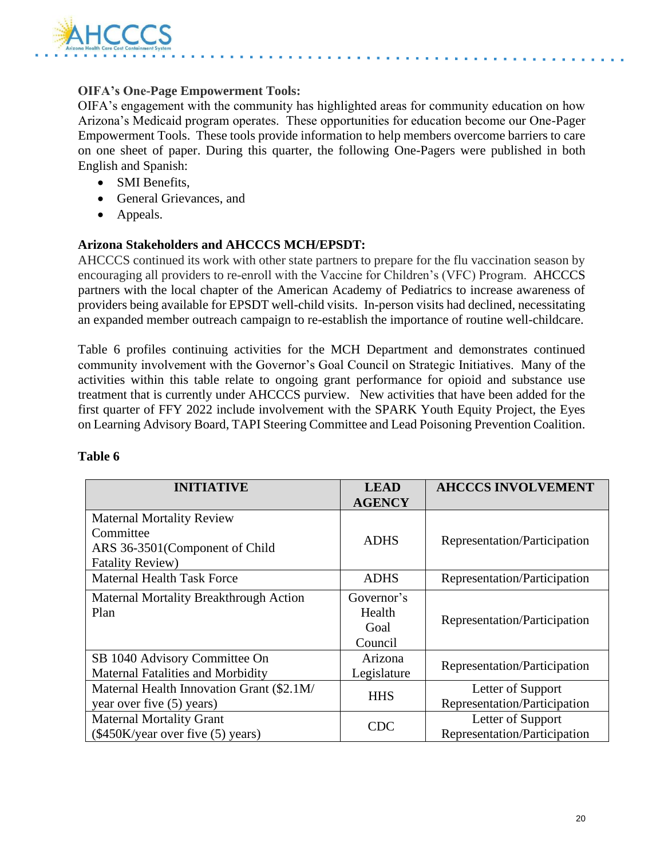

#### **OIFA's One-Page Empowerment Tools:**

OIFA's engagement with the community has highlighted areas for community education on how Arizona's Medicaid program operates. These opportunities for education become our One-Pager Empowerment Tools. These tools provide information to help members overcome barriers to care on one sheet of paper. During this quarter, the following One-Pagers were published in both English and Spanish:

- SMI Benefits,
- General Grievances, and
- Appeals.

#### **Arizona Stakeholders and AHCCCS MCH/EPSDT:**

AHCCCS continued its work with other state partners to prepare for the flu vaccination season by encouraging all providers to re-enroll with the Vaccine for Children's (VFC) Program. AHCCCS partners with the local chapter of the American Academy of Pediatrics to increase awareness of providers being available for EPSDT well-child visits. In-person visits had declined, necessitating an expanded member outreach campaign to re-establish the importance of routine well-childcare.

Table 6 profiles continuing activities for the MCH Department and demonstrates continued community involvement with the Governor's Goal Council on Strategic Initiatives. Many of the activities within this table relate to ongoing grant performance for opioid and substance use treatment that is currently under AHCCCS purview. New activities that have been added for the first quarter of FFY 2022 include involvement with the SPARK Youth Equity Project, the Eyes on Learning Advisory Board, TAPI Steering Committee and Lead Poisoning Prevention Coalition.

| <b>INITIATIVE</b>                                                                                           | <b>LEAD</b><br><b>AGENCY</b>            | <b>AHCCCS INVOLVEMENT</b>                         |
|-------------------------------------------------------------------------------------------------------------|-----------------------------------------|---------------------------------------------------|
| <b>Maternal Mortality Review</b><br>Committee<br>ARS 36-3501 (Component of Child<br><b>Fatality Review)</b> | <b>ADHS</b>                             | Representation/Participation                      |
| <b>Maternal Health Task Force</b>                                                                           | <b>ADHS</b>                             | Representation/Participation                      |
| <b>Maternal Mortality Breakthrough Action</b><br>Plan                                                       | Governor's<br>Health<br>Goal<br>Council | Representation/Participation                      |
| SB 1040 Advisory Committee On<br><b>Maternal Fatalities and Morbidity</b>                                   | Arizona<br>Legislature                  | Representation/Participation                      |
| Maternal Health Innovation Grant (\$2.1M/<br>year over five (5) years)                                      | <b>HHS</b>                              | Letter of Support<br>Representation/Participation |
| <b>Maternal Mortality Grant</b><br>(\$450K/year over five (5) years)                                        | <b>CDC</b>                              | Letter of Support<br>Representation/Participation |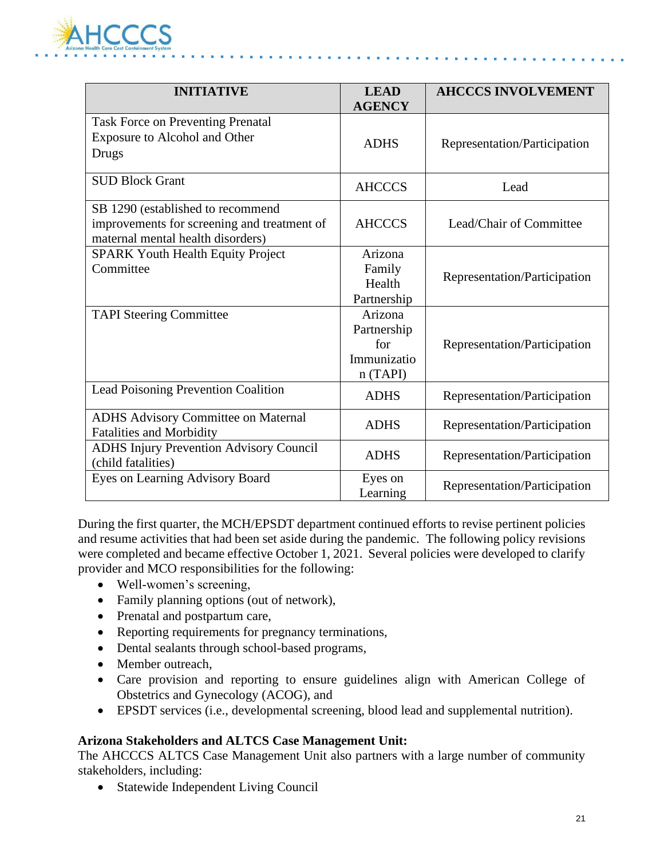

| <b>INITIATIVE</b>                                                                                                     | <b>LEAD</b><br><b>AGENCY</b>                            | <b>AHCCCS INVOLVEMENT</b>    |
|-----------------------------------------------------------------------------------------------------------------------|---------------------------------------------------------|------------------------------|
| <b>Task Force on Preventing Prenatal</b><br>Exposure to Alcohol and Other<br>Drugs                                    | <b>ADHS</b>                                             | Representation/Participation |
| <b>SUD Block Grant</b>                                                                                                | <b>AHCCCS</b>                                           | Lead                         |
| SB 1290 (established to recommend<br>improvements for screening and treatment of<br>maternal mental health disorders) | <b>AHCCCS</b>                                           | Lead/Chair of Committee      |
| <b>SPARK Youth Health Equity Project</b><br>Committee                                                                 | Arizona<br>Family<br>Health<br>Partnership              | Representation/Participation |
| <b>TAPI Steering Committee</b>                                                                                        | Arizona<br>Partnership<br>for<br>Immunizatio<br>n(TAPI) | Representation/Participation |
| Lead Poisoning Prevention Coalition                                                                                   | <b>ADHS</b>                                             | Representation/Participation |
| <b>ADHS Advisory Committee on Maternal</b><br><b>Fatalities and Morbidity</b>                                         | <b>ADHS</b>                                             | Representation/Participation |
| <b>ADHS Injury Prevention Advisory Council</b><br>(child fatalities)                                                  | <b>ADHS</b>                                             | Representation/Participation |
| Eyes on Learning Advisory Board                                                                                       | Eyes on<br>Learning                                     | Representation/Participation |

During the first quarter, the MCH/EPSDT department continued efforts to revise pertinent policies and resume activities that had been set aside during the pandemic. The following policy revisions were completed and became effective October 1, 2021. Several policies were developed to clarify provider and MCO responsibilities for the following:

- Well-women's screening,
- Family planning options (out of network),
- Prenatal and postpartum care,
- Reporting requirements for pregnancy terminations,
- Dental sealants through school-based programs,
- Member outreach,
- Care provision and reporting to ensure guidelines align with American College of Obstetrics and Gynecology (ACOG), and
- EPSDT services (i.e., developmental screening, blood lead and supplemental nutrition).

#### **Arizona Stakeholders and ALTCS Case Management Unit:**

The AHCCCS ALTCS Case Management Unit also partners with a large number of community stakeholders, including:

• Statewide Independent Living Council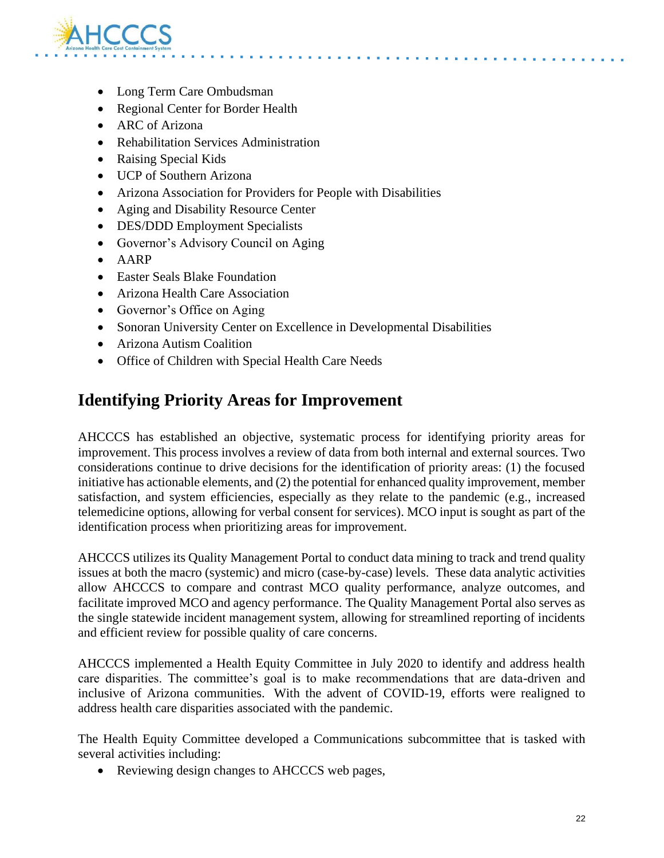

- Long Term Care Ombudsman
- Regional Center for Border Health
- ARC of Arizona
- Rehabilitation Services Administration
- Raising Special Kids
- UCP of Southern Arizona
- Arizona Association for Providers for People with Disabilities
- Aging and Disability Resource Center
- DES/DDD Employment Specialists
- Governor's Advisory Council on Aging
- AARP
- Easter Seals Blake Foundation
- Arizona Health Care Association
- Governor's Office on Aging
- Sonoran University Center on Excellence in Developmental Disabilities
- Arizona Autism Coalition
- Office of Children with Special Health Care Needs

# **Identifying Priority Areas for Improvement**

AHCCCS has established an objective, systematic process for identifying priority areas for improvement. This process involves a review of data from both internal and external sources. Two considerations continue to drive decisions for the identification of priority areas: (1) the focused initiative has actionable elements, and (2) the potential for enhanced quality improvement, member satisfaction, and system efficiencies, especially as they relate to the pandemic (e.g., increased telemedicine options, allowing for verbal consent for services). MCO input is sought as part of the identification process when prioritizing areas for improvement.

AHCCCS utilizes its Quality Management Portal to conduct data mining to track and trend quality issues at both the macro (systemic) and micro (case-by-case) levels. These data analytic activities allow AHCCCS to compare and contrast MCO quality performance, analyze outcomes, and facilitate improved MCO and agency performance. The Quality Management Portal also serves as the single statewide incident management system, allowing for streamlined reporting of incidents and efficient review for possible quality of care concerns.

AHCCCS implemented a Health Equity Committee in July 2020 to identify and address health care disparities. The committee's goal is to make recommendations that are data-driven and inclusive of Arizona communities. With the advent of COVID-19, efforts were realigned to address health care disparities associated with the pandemic.

The Health Equity Committee developed a Communications subcommittee that is tasked with several activities including:

• Reviewing design changes to AHCCCS web pages,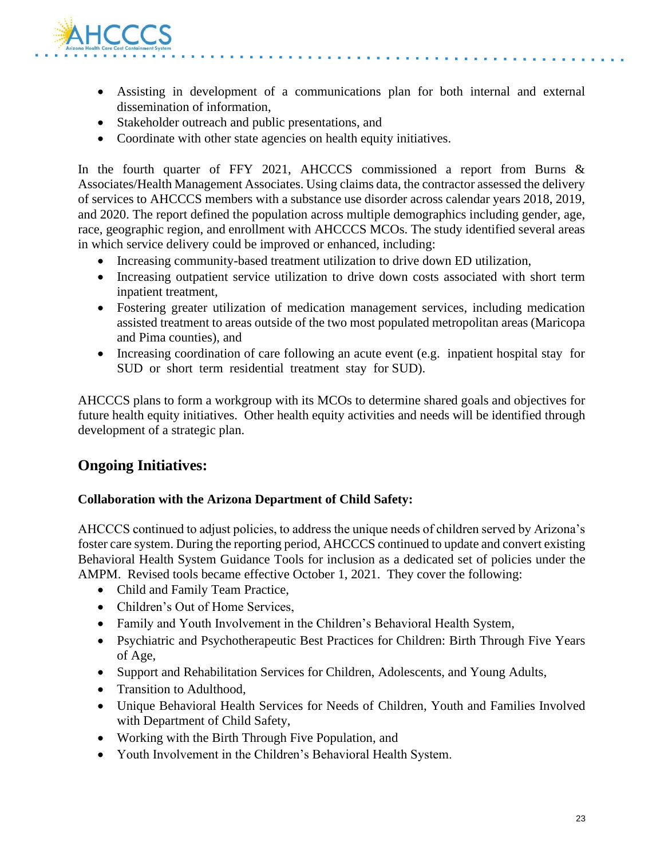

- Assisting in development of a communications plan for both internal and external dissemination of information,
- Stakeholder outreach and public presentations, and
- Coordinate with other state agencies on health equity initiatives.

In the fourth quarter of FFY 2021, AHCCCS commissioned a report from Burns  $\&$ Associates/Health Management Associates. Using claims data, the contractor assessed the delivery of services to AHCCCS members with a substance use disorder across calendar years 2018, 2019, and 2020. The report defined the population across multiple demographics including gender, age, race, geographic region, and enrollment with AHCCCS MCOs. The study identified several areas in which service delivery could be improved or enhanced, including:

- Increasing community-based treatment utilization to drive down ED utilization,
- Increasing outpatient service utilization to drive down costs associated with short term inpatient treatment,
- Fostering greater utilization of medication management services, including medication assisted treatment to areas outside of the two most populated metropolitan areas (Maricopa and Pima counties), and
- Increasing coordination of care following an acute event (e.g. inpatient hospital stay for SUD or short term residential treatment stay for SUD).

AHCCCS plans to form a workgroup with its MCOs to determine shared goals and objectives for future health equity initiatives. Other health equity activities and needs will be identified through development of a strategic plan.

# **Ongoing Initiatives:**

#### **Collaboration with the Arizona Department of Child Safety:**

AHCCCS continued to adjust policies, to address the unique needs of children served by Arizona's foster care system. During the reporting period, AHCCCS continued to update and convert existing Behavioral Health System Guidance Tools for inclusion as a dedicated set of policies under the AMPM. Revised tools became effective October 1, 2021. They cover the following:

- Child and Family Team Practice,
- Children's Out of Home Services,
- Family and Youth Involvement in the Children's Behavioral Health System,
- Psychiatric and Psychotherapeutic Best Practices for Children: Birth Through Five Years of Age,
- Support and Rehabilitation Services for Children, Adolescents, and Young Adults,
- Transition to Adulthood.
- Unique Behavioral Health Services for Needs of Children, Youth and Families Involved with Department of Child Safety,
- Working with the Birth Through Five Population, and
- Youth Involvement in the Children's Behavioral Health System.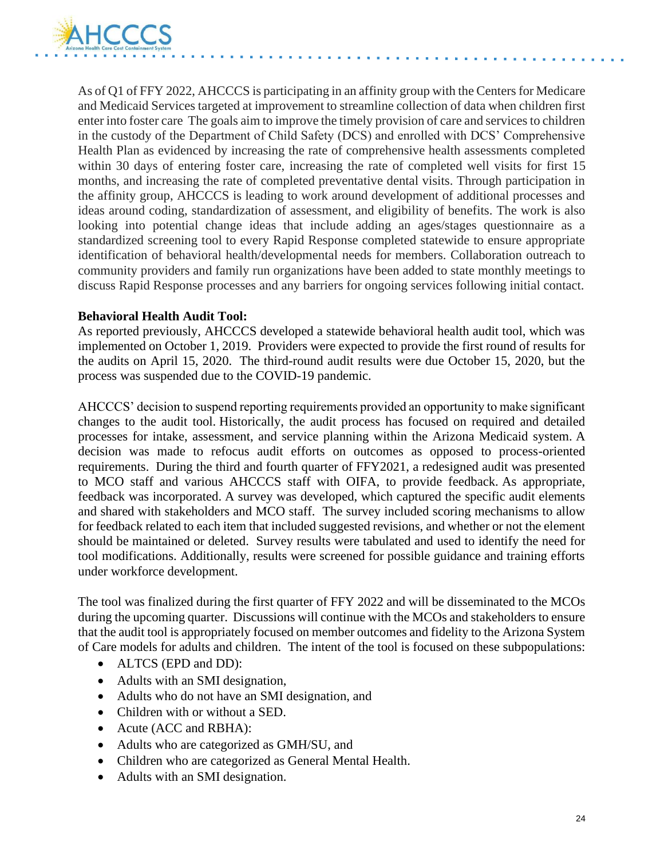

As of Q1 of FFY 2022, AHCCCS is participating in an affinity group with the Centers for Medicare and Medicaid Services targeted at improvement to streamline collection of data when children first enter into foster care The goals aim to improve the timely provision of care and services to children in the custody of the Department of Child Safety (DCS) and enrolled with DCS' Comprehensive Health Plan as evidenced by increasing the rate of comprehensive health assessments completed within 30 days of entering foster care, increasing the rate of completed well visits for first 15 months, and increasing the rate of completed preventative dental visits. Through participation in the affinity group, AHCCCS is leading to work around development of additional processes and ideas around coding, standardization of assessment, and eligibility of benefits. The work is also looking into potential change ideas that include adding an ages/stages questionnaire as a standardized screening tool to every Rapid Response completed statewide to ensure appropriate identification of behavioral health/developmental needs for members. Collaboration outreach to community providers and family run organizations have been added to state monthly meetings to discuss Rapid Response processes and any barriers for ongoing services following initial contact.

#### **Behavioral Health Audit Tool:**

As reported previously, AHCCCS developed a statewide behavioral health audit tool, which was implemented on October 1, 2019. Providers were expected to provide the first round of results for the audits on April 15, 2020. The third-round audit results were due October 15, 2020, but the process was suspended due to the COVID-19 pandemic.

AHCCCS' decision to suspend reporting requirements provided an opportunity to make significant changes to the audit tool. Historically, the audit process has focused on required and detailed processes for intake, assessment, and service planning within the Arizona Medicaid system. A decision was made to refocus audit efforts on outcomes as opposed to process-oriented requirements. During the third and fourth quarter of FFY2021, a redesigned audit was presented to MCO staff and various AHCCCS staff with OIFA, to provide feedback. As appropriate, feedback was incorporated. A survey was developed, which captured the specific audit elements and shared with stakeholders and MCO staff. The survey included scoring mechanisms to allow for feedback related to each item that included suggested revisions, and whether or not the element should be maintained or deleted. Survey results were tabulated and used to identify the need for tool modifications. Additionally, results were screened for possible guidance and training efforts under workforce development.

The tool was finalized during the first quarter of FFY 2022 and will be disseminated to the MCOs during the upcoming quarter. Discussions will continue with the MCOs and stakeholders to ensure that the audit tool is appropriately focused on member outcomes and fidelity to the Arizona System of Care models for adults and children. The intent of the tool is focused on these subpopulations:

- ALTCS (EPD and DD):
- Adults with an SMI designation,
- Adults who do not have an SMI designation, and
- Children with or without a SED.
- Acute (ACC and RBHA):
- Adults who are categorized as GMH/SU, and
- Children who are categorized as General Mental Health.
- Adults with an SMI designation.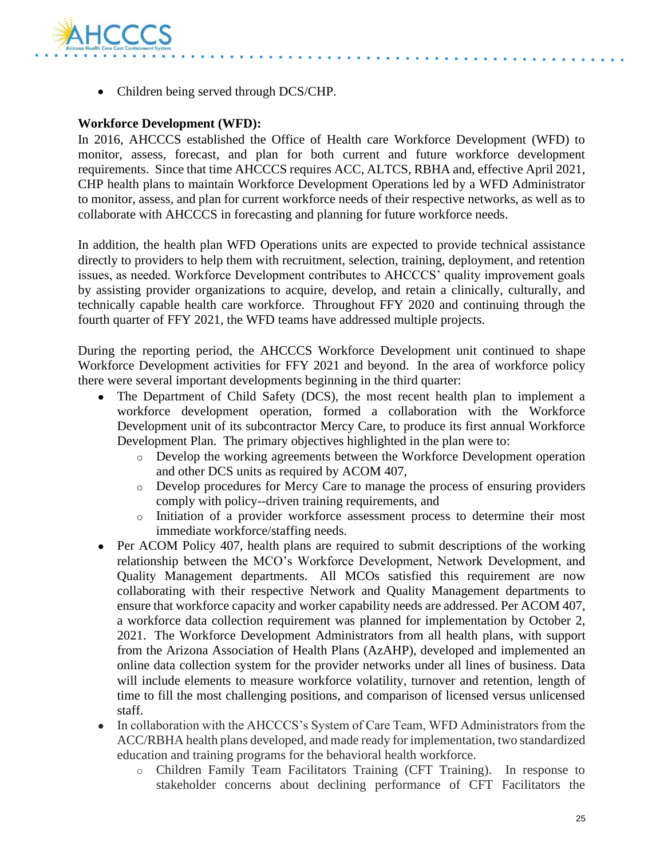

• Children being served through DCS/CHP.

#### **Workforce Development (WFD):**

In 2016, AHCCCS established the Office of Health care Workforce Development (WFD) to monitor, assess, forecast, and plan for both current and future workforce development requirements. Since that time AHCCCS requires ACC, ALTCS, RBHA and, effective April 2021, CHP health plans to maintain Workforce Development Operations led by a WFD Administrator to monitor, assess, and plan for current workforce needs of their respective networks, as well as to collaborate with AHCCCS in forecasting and planning for future workforce needs.

In addition, the health plan WFD Operations units are expected to provide technical assistance directly to providers to help them with recruitment, selection, training, deployment, and retention issues, as needed. Workforce Development contributes to AHCCCS' quality improvement goals by assisting provider organizations to acquire, develop, and retain a clinically, culturally, and technically capable health care workforce. Throughout FFY 2020 and continuing through the fourth quarter of FFY 2021, the WFD teams have addressed multiple projects.

During the reporting period, the AHCCCS Workforce Development unit continued to shape Workforce Development activities for FFY 2021 and beyond. In the area of workforce policy there were several important developments beginning in the third quarter:

- The Department of Child Safety (DCS), the most recent health plan to implement a workforce development operation, formed a collaboration with the Workforce Development unit of its subcontractor Mercy Care, to produce its first annual Workforce Development Plan. The primary objectives highlighted in the plan were to:
	- o Develop the working agreements between the Workforce Development operation and other DCS units as required by ACOM 407,
	- o Develop procedures for Mercy Care to manage the process of ensuring providers comply with policy--driven training requirements, and
	- o Initiation of a provider workforce assessment process to determine their most immediate workforce/staffing needs.
- Per ACOM Policy 407, health plans are required to submit descriptions of the working relationship between the MCO's Workforce Development, Network Development, and Quality Management departments. All MCOs satisfied this requirement are now collaborating with their respective Network and Quality Management departments to ensure that workforce capacity and worker capability needs are addressed. Per ACOM 407, a workforce data collection requirement was planned for implementation by October 2, 2021. The Workforce Development Administrators from all health plans, with support from the Arizona Association of Health Plans (AzAHP), developed and implemented an online data collection system for the provider networks under all lines of business. Data will include elements to measure workforce volatility, turnover and retention, length of time to fill the most challenging positions, and comparison of licensed versus unlicensed staff.
- In collaboration with the AHCCCS's System of Care Team, WFD Administrators from the ACC/RBHA health plans developed, and made ready for implementation, two standardized education and training programs for the behavioral health workforce.
	- o Children Family Team Facilitators Training (CFT Training). In response to stakeholder concerns about declining performance of CFT Facilitators the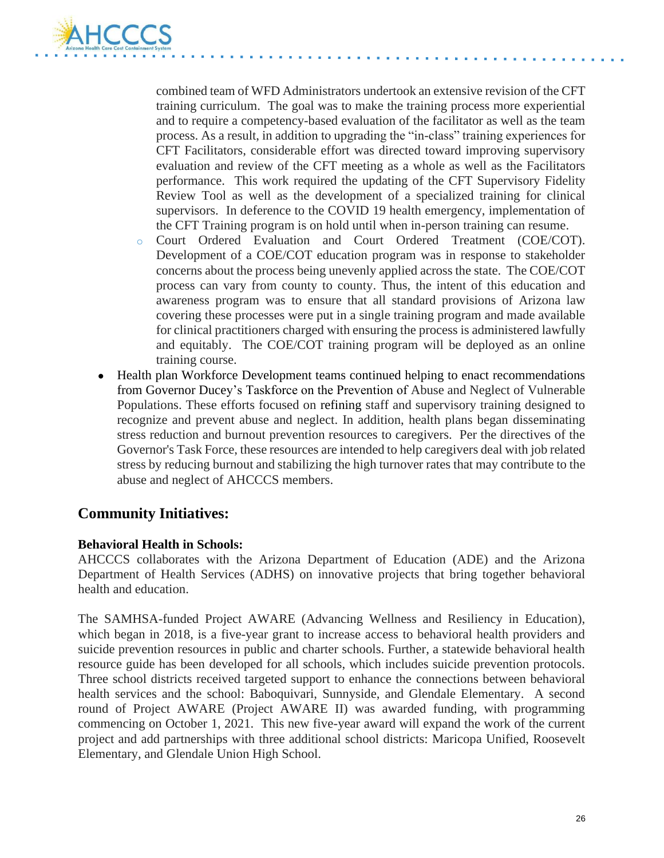

combined team of WFD Administrators undertook an extensive revision of the CFT training curriculum. The goal was to make the training process more experiential and to require a competency-based evaluation of the facilitator as well as the team process. As a result, in addition to upgrading the "in-class" training experiences for CFT Facilitators, considerable effort was directed toward improving supervisory evaluation and review of the CFT meeting as a whole as well as the Facilitators performance. This work required the updating of the CFT Supervisory Fidelity Review Tool as well as the development of a specialized training for clinical supervisors. In deference to the COVID 19 health emergency, implementation of the CFT Training program is on hold until when in-person training can resume.

- o Court Ordered Evaluation and Court Ordered Treatment (COE/COT). Development of a COE/COT education program was in response to stakeholder concerns about the process being unevenly applied across the state. The COE/COT process can vary from county to county. Thus, the intent of this education and awareness program was to ensure that all standard provisions of Arizona law covering these processes were put in a single training program and made available for clinical practitioners charged with ensuring the process is administered lawfully and equitably. The COE/COT training program will be deployed as an online training course.
- Health plan Workforce Development teams continued helping to enact recommendations from Governor Ducey's Taskforce on the Prevention of Abuse and Neglect of Vulnerable Populations. These efforts focused on refining staff and supervisory training designed to recognize and prevent abuse and neglect. In addition, health plans began disseminating stress reduction and burnout prevention resources to caregivers. Per the directives of the Governor's Task Force, these resources are intended to help caregivers deal with job related stress by reducing burnout and stabilizing the high turnover rates that may contribute to the abuse and neglect of AHCCCS members.

### **Community Initiatives:**

#### **Behavioral Health in Schools:**

AHCCCS collaborates with the Arizona Department of Education (ADE) and the Arizona Department of Health Services (ADHS) on innovative projects that bring together behavioral health and education.

The SAMHSA-funded Project AWARE (Advancing Wellness and Resiliency in Education), which began in 2018, is a five-year grant to increase access to behavioral health providers and suicide prevention resources in public and charter schools. Further, a statewide behavioral health resource guide has been developed for all schools, which includes suicide prevention protocols. Three school districts received targeted support to enhance the connections between behavioral health services and the school: Baboquivari, Sunnyside, and Glendale Elementary. A second round of Project AWARE (Project AWARE II) was awarded funding, with programming commencing on October 1, 2021. This new five-year award will expand the work of the current project and add partnerships with three additional school districts: Maricopa Unified, Roosevelt Elementary, and Glendale Union High School.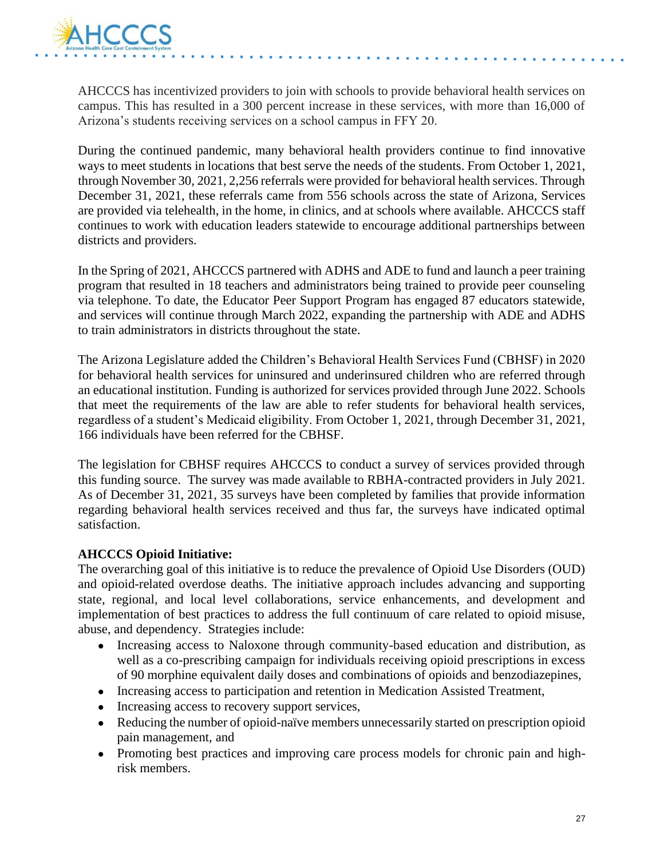

AHCCCS has incentivized providers to join with schools to provide behavioral health services on campus. This has resulted in a 300 percent increase in these services, with more than 16,000 of Arizona's students receiving services on a school campus in FFY 20.

During the continued pandemic, many behavioral health providers continue to find innovative ways to meet students in locations that best serve the needs of the students. From October 1, 2021, through November 30, 2021, 2,256 referrals were provided for behavioral health services. Through December 31, 2021, these referrals came from 556 schools across the state of Arizona, Services are provided via telehealth, in the home, in clinics, and at schools where available. AHCCCS staff continues to work with education leaders statewide to encourage additional partnerships between districts and providers.

In the Spring of 2021, AHCCCS partnered with ADHS and ADE to fund and launch a peer training program that resulted in 18 teachers and administrators being trained to provide peer counseling via telephone. To date, the Educator Peer Support Program has engaged 87 educators statewide, and services will continue through March 2022, expanding the partnership with ADE and ADHS to train administrators in districts throughout the state.

The Arizona Legislature added the Children's Behavioral Health Services Fund (CBHSF) in 2020 for behavioral health services for uninsured and underinsured children who are referred through an educational institution. Funding is authorized for services provided through June 2022. Schools that meet the requirements of the law are able to refer students for behavioral health services, regardless of a student's Medicaid eligibility. From October 1, 2021, through December 31, 2021, 166 individuals have been referred for the CBHSF.

The legislation for CBHSF requires AHCCCS to conduct a survey of services provided through this funding source. The survey was made available to RBHA-contracted providers in July 2021. As of December 31, 2021, 35 surveys have been completed by families that provide information regarding behavioral health services received and thus far, the surveys have indicated optimal satisfaction.

#### **AHCCCS Opioid Initiative:**

The overarching goal of this initiative is to reduce the prevalence of Opioid Use Disorders (OUD) and opioid-related overdose deaths. The initiative approach includes advancing and supporting state, regional, and local level collaborations, service enhancements, and development and implementation of best practices to address the full continuum of care related to opioid misuse, abuse, and dependency. Strategies include:

- Increasing access to Naloxone through community-based education and distribution, as well as a co-prescribing campaign for individuals receiving opioid prescriptions in excess of 90 morphine equivalent daily doses and combinations of opioids and benzodiazepines,
- Increasing access to participation and retention in Medication Assisted Treatment,
- Increasing access to recovery support services,
- Reducing the number of opioid-naïve members unnecessarily started on prescription opioid pain management, and
- Promoting best practices and improving care process models for chronic pain and highrisk members.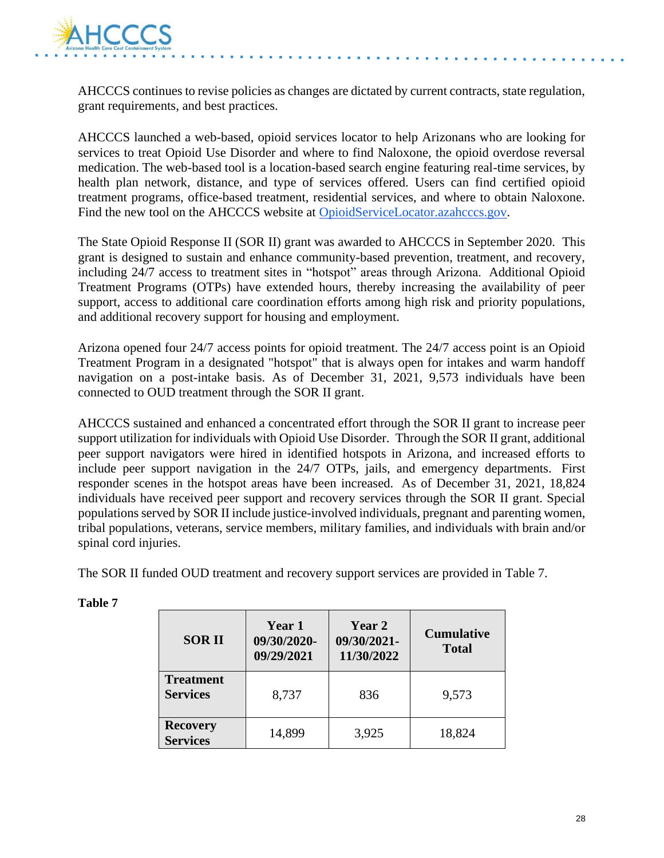

AHCCCS continues to revise policies as changes are dictated by current contracts, state regulation, grant requirements, and best practices.

AHCCCS launched a web-based, opioid services locator to help Arizonans who are looking for services to treat Opioid Use Disorder and where to find Naloxone, the opioid overdose reversal medication. The web-based tool is a location-based search engine featuring real-time services, by health plan network, distance, and type of services offered. Users can find certified opioid treatment programs, office-based treatment, residential services, and where to obtain Naloxone. Find the new tool on the AHCCCS website at [OpioidServiceLocator.azahcccs.gov.](http://opioidservicelocator.azahcccs.gov/)

The State Opioid Response II (SOR II) grant was awarded to AHCCCS in September 2020. This grant is designed to sustain and enhance community-based prevention, treatment, and recovery, including 24/7 access to treatment sites in "hotspot" areas through Arizona. Additional Opioid Treatment Programs (OTPs) have extended hours, thereby increasing the availability of peer support, access to additional care coordination efforts among high risk and priority populations, and additional recovery support for housing and employment.

Arizona opened four 24/7 access points for opioid treatment. The 24/7 access point is an Opioid Treatment Program in a designated "hotspot" that is always open for intakes and warm handoff navigation on a post-intake basis. As of December 31, 2021, 9,573 individuals have been connected to OUD treatment through the SOR II grant.

AHCCCS sustained and enhanced a concentrated effort through the SOR II grant to increase peer support utilization for individuals with Opioid Use Disorder. Through the SOR II grant, additional peer support navigators were hired in identified hotspots in Arizona, and increased efforts to include peer support navigation in the 24/7 OTPs, jails, and emergency departments. First responder scenes in the hotspot areas have been increased. As of December 31, 2021, 18,824 individuals have received peer support and recovery services through the SOR II grant. Special populations served by SOR II include justice-involved individuals, pregnant and parenting women, tribal populations, veterans, service members, military families, and individuals with brain and/or spinal cord injuries.

The SOR II funded OUD treatment and recovery support services are provided in Table 7.

| <b>SOR II</b>                       | Year 1<br>09/30/2020-<br>09/29/2021 | Year 2<br>09/30/2021-<br>11/30/2022 | <b>Cumulative</b><br><b>Total</b> |
|-------------------------------------|-------------------------------------|-------------------------------------|-----------------------------------|
| <b>Treatment</b><br><b>Services</b> | 8,737                               | 836                                 | 9,573                             |
| <b>Recovery</b><br><b>Services</b>  | 14,899                              | 3,925                               | 18,824                            |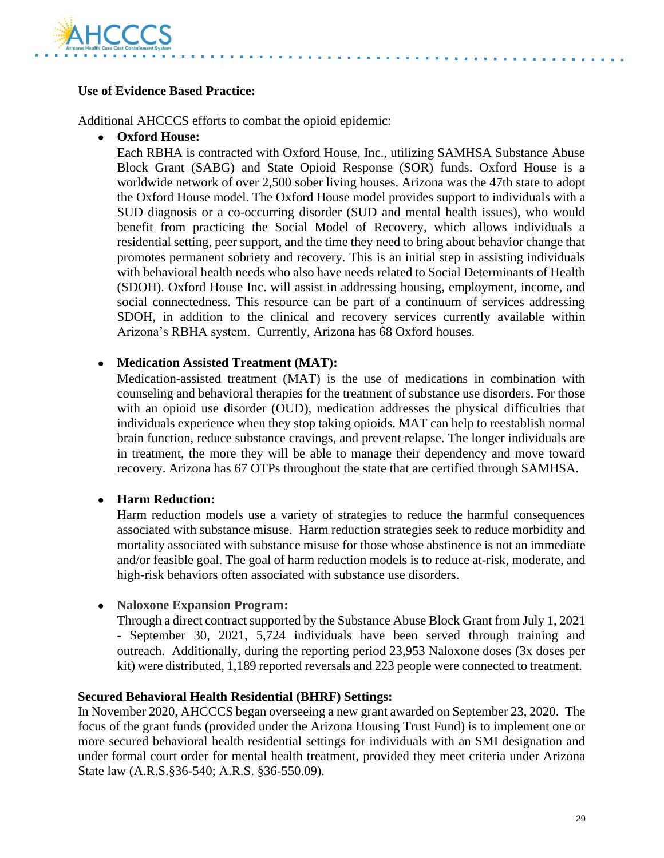

#### **Use of Evidence Based Practice:**

Additional AHCCCS efforts to combat the opioid epidemic:

● **Oxford House:**

Each RBHA is contracted with Oxford House, Inc., utilizing SAMHSA Substance Abuse Block Grant (SABG) and State Opioid Response (SOR) funds. Oxford House is a worldwide network of over 2,500 sober living houses. Arizona was the 47th state to adopt the Oxford House model. The Oxford House model provides support to individuals with a SUD diagnosis or a co-occurring disorder (SUD and mental health issues), who would benefit from practicing the Social Model of Recovery, which allows individuals a residential setting, peer support, and the time they need to bring about behavior change that promotes permanent sobriety and recovery. This is an initial step in assisting individuals with behavioral health needs who also have needs related to Social Determinants of Health (SDOH). Oxford House Inc. will assist in addressing housing, employment, income, and social connectedness. This resource can be part of a continuum of services addressing SDOH, in addition to the clinical and recovery services currently available within Arizona's RBHA system. Currently, Arizona has 68 Oxford houses.

#### ● **Medication Assisted Treatment (MAT):**

Medication-assisted treatment (MAT) is the use of medications in combination with counseling and behavioral therapies for the treatment of substance use disorders. For those with an opioid use disorder (OUD), medication addresses the physical difficulties that individuals experience when they stop taking opioids. MAT can help to reestablish normal brain function, reduce substance cravings, and prevent relapse. The longer individuals are in treatment, the more they will be able to manage their dependency and move toward recovery. Arizona has 67 OTPs throughout the state that are certified through SAMHSA.

#### ● **Harm Reduction:**

Harm reduction models use a variety of strategies to reduce the harmful consequences associated with substance misuse. Harm reduction [st](https://www.ncbi.nlm.nih.gov/pmc/articles/PMC2528824/)rategies seek to reduce morbidity and mortality associated with substance misuse for those whose abstinence is not an immediate and/or feasible goal. The goal of harm reduction models is to reduce at-risk, moderate, and high-risk behaviors often associated with substance use disorders.

#### ● **Naloxone Expansion Program:**

Through a direct contract supported by the Substance Abuse Block Grant from July 1, 2021 - September 30, 2021, 5,724 individuals have been served through training and outreach. Additionally, during the reporting period 23,953 Naloxone doses (3x doses per kit) were distributed, 1,189 reported reversals and 223 people were connected to treatment.

#### **Secured Behavioral Health Residential (BHRF) Settings:**

In November 2020, AHCCCS began overseeing a new grant awarded on September 23, 2020. The focus of the grant funds (provided under the Arizona Housing Trust Fund) is to implement one or more secured behavioral health residential settings for individuals with an SMI designation and under formal court order for mental health treatment, provided they meet criteria under Arizona State law (A.R.S.§36-540; A.R.S. §36-550.09).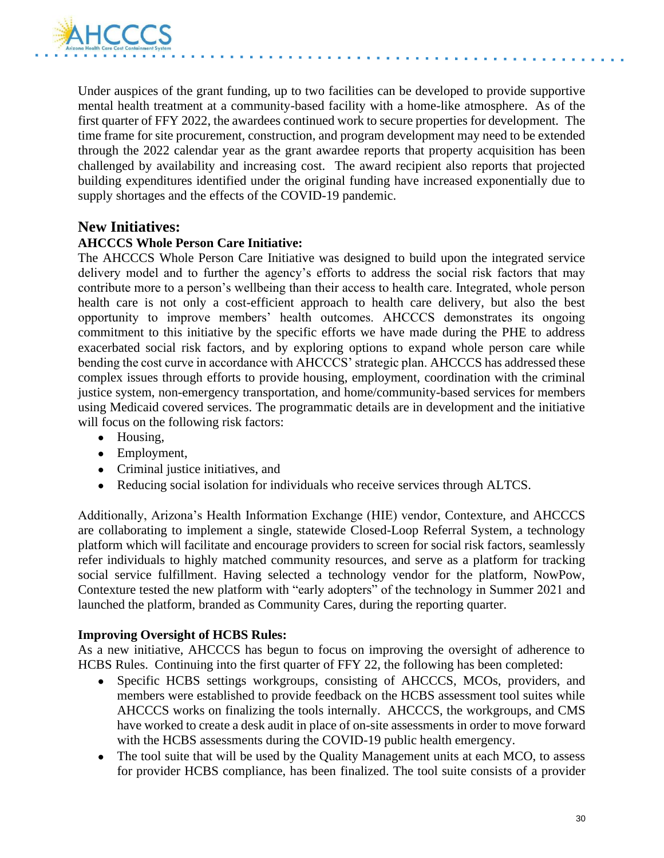

Under auspices of the grant funding, up to two facilities can be developed to provide supportive mental health treatment at a community-based facility with a home-like atmosphere. As of the first quarter of FFY 2022, the awardees continued work to secure properties for development. The time frame for site procurement, construction, and program development may need to be extended through the 2022 calendar year as the grant awardee reports that property acquisition has been challenged by availability and increasing cost. The award recipient also reports that projected building expenditures identified under the original funding have increased exponentially due to supply shortages and the effects of the COVID-19 pandemic.

#### **New Initiatives:**

#### **AHCCCS Whole Person Care Initiative:**

The AHCCCS Whole Person Care Initiative was designed to build upon the integrated service delivery model and to further the agency's efforts to address the social risk factors that may contribute more to a person's wellbeing than their access to health care. Integrated, whole person health care is not only a cost-efficient approach to health care delivery, but also the best opportunity to improve members' health outcomes. AHCCCS demonstrates its ongoing commitment to this initiative by the specific efforts we have made during the PHE to address exacerbated social risk factors, and by exploring options to expand whole person care while bending the cost curve in accordance with AHCCCS' strategic plan. AHCCCS has addressed these complex issues through efforts to provide housing, employment, coordination with the criminal justice system, non-emergency transportation, and home/community-based services for members using Medicaid covered services. The programmatic details are in development and the initiative will focus on the following risk factors:

- Housing,
- Employment,
- Criminal justice initiatives, and
- Reducing social isolation for individuals who receive services through ALTCS.

Additionally, Arizona's Health Information Exchange (HIE) vendor, Contexture, and AHCCCS are collaborating to implement a single, statewide Closed-Loop Referral System, a technology platform which will facilitate and encourage providers to screen for social risk factors, seamlessly refer individuals to highly matched community resources, and serve as a platform for tracking social service fulfillment. Having selected a technology vendor for the platform, NowPow, Contexture tested the new platform with "early adopters" of the technology in Summer 2021 and launched the platform, branded as Community Cares, during the reporting quarter.

#### **Improving Oversight of HCBS Rules:**

As a new initiative, AHCCCS has begun to focus on improving the oversight of adherence to HCBS Rules. Continuing into the first quarter of FFY 22, the following has been completed:

- Specific HCBS settings workgroups, consisting of AHCCCS, MCOs, providers, and members were established to provide feedback on the HCBS assessment tool suites while AHCCCS works on finalizing the tools internally. AHCCCS, the workgroups, and CMS have worked to create a desk audit in place of on-site assessments in order to move forward with the HCBS assessments during the COVID-19 public health emergency.
- The tool suite that will be used by the Quality Management units at each MCO, to assess for provider HCBS compliance, has been finalized. The tool suite consists of a provider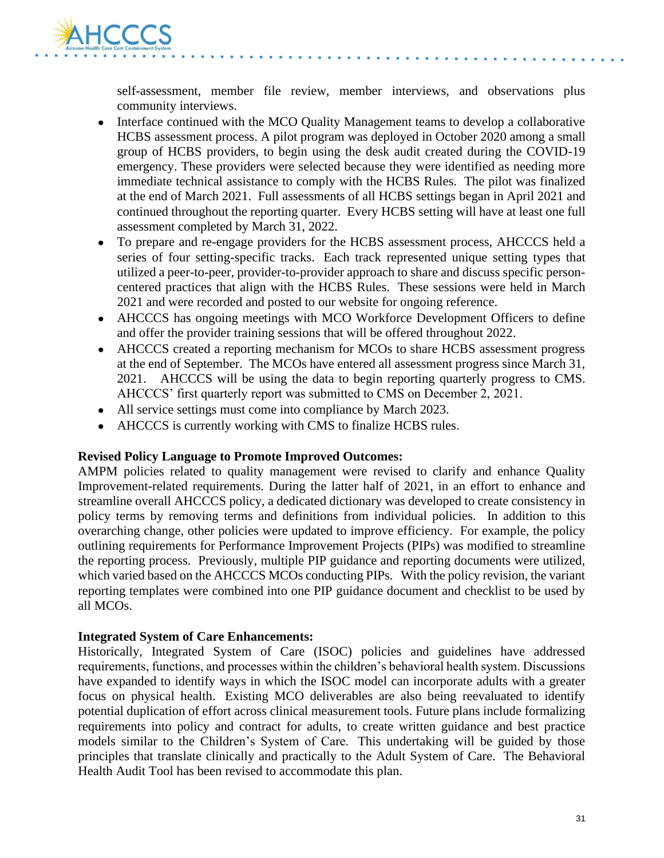

self-assessment, member file review, member interviews, and observations plus community interviews.

- Interface continued with the MCO Quality Management teams to develop a collaborative HCBS assessment process. A pilot program was deployed in October 2020 among a small group of HCBS providers, to begin using the desk audit created during the COVID-19 emergency. These providers were selected because they were identified as needing more immediate technical assistance to comply with the HCBS Rules. The pilot was finalized at the end of March 2021. Full assessments of all HCBS settings began in April 2021 and continued throughout the reporting quarter. Every HCBS setting will have at least one full assessment completed by March 31, 2022.
- To prepare and re-engage providers for the HCBS assessment process, AHCCCS held a series of four setting-specific tracks. Each track represented unique setting types that utilized a peer-to-peer, provider-to-provider approach to share and discuss specific personcentered practices that align with the HCBS Rules. These sessions were held in March 2021 and were recorded and posted to our website for ongoing reference.
- AHCCCS has ongoing meetings with MCO Workforce Development Officers to define and offer the provider training sessions that will be offered throughout 2022.
- AHCCCS created a reporting mechanism for MCOs to share HCBS assessment progress at the end of September. The MCOs have entered all assessment progress since March 31, 2021. AHCCCS will be using the data to begin reporting quarterly progress to CMS. AHCCCS' first quarterly report was submitted to CMS on December 2, 2021.
- All service settings must come into compliance by March 2023.
- AHCCCS is currently working with CMS to finalize HCBS rules.

#### **Revised Policy Language to Promote Improved Outcomes:**

AMPM policies related to quality management were revised to clarify and enhance Quality Improvement-related requirements. During the latter half of 2021, in an effort to enhance and streamline overall AHCCCS policy, a dedicated dictionary was developed to create consistency in policy terms by removing terms and definitions from individual policies. In addition to this overarching change, other policies were updated to improve efficiency. For example, the policy outlining requirements for Performance Improvement Projects (PIPs) was modified to streamline the reporting process. Previously, multiple PIP guidance and reporting documents were utilized, which varied based on the AHCCCS MCOs conducting PIPs. With the policy revision, the variant reporting templates were combined into one PIP guidance document and checklist to be used by all MCOs.

#### **Integrated System of Care Enhancements:**

Historically, Integrated System of Care (ISOC) policies and guidelines have addressed requirements, functions, and processes within the children's behavioral health system. Discussions have expanded to identify ways in which the ISOC model can incorporate adults with a greater focus on physical health. Existing MCO deliverables are also being reevaluated to identify potential duplication of effort across clinical measurement tools. Future plans include formalizing requirements into policy and contract for adults, to create written guidance and best practice models similar to the Children's System of Care. This undertaking will be guided by those principles that translate clinically and practically to the Adult System of Care. The Behavioral Health Audit Tool has been revised to accommodate this plan.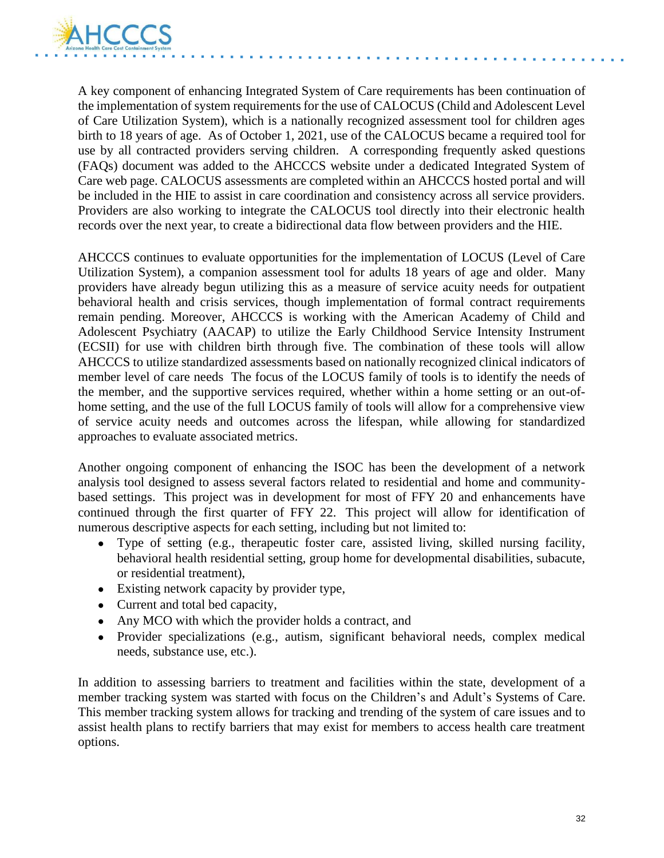

A key component of enhancing Integrated System of Care requirements has been continuation of the implementation of system requirements for the use of CALOCUS (Child and Adolescent Level of Care Utilization System), which is a nationally recognized assessment tool for children ages birth to 18 years of age. As of October 1, 2021, use of the CALOCUS became a required tool for use by all contracted providers serving children. A corresponding frequently asked questions (FAQs) document was added to the AHCCCS website under a dedicated Integrated System of Care web page. CALOCUS assessments are completed within an AHCCCS hosted portal and will be included in the HIE to assist in care coordination and consistency across all service providers. Providers are also working to integrate the CALOCUS tool directly into their electronic health records over the next year, to create a bidirectional data flow between providers and the HIE.

AHCCCS continues to evaluate opportunities for the implementation of LOCUS (Level of Care Utilization System), a companion assessment tool for adults 18 years of age and older. Many providers have already begun utilizing this as a measure of service acuity needs for outpatient behavioral health and crisis services, though implementation of formal contract requirements remain pending. Moreover, AHCCCS is working with the American Academy of Child and Adolescent Psychiatry (AACAP) to utilize the Early Childhood Service Intensity Instrument (ECSII) for use with children birth through five. The combination of these tools will allow AHCCCS to utilize standardized assessments based on nationally recognized clinical indicators of member level of care needs The focus of the LOCUS family of tools is to identify the needs of the member, and the supportive services required, whether within a home setting or an out-ofhome setting, and the use of the full LOCUS family of tools will allow for a comprehensive view of service acuity needs and outcomes across the lifespan, while allowing for standardized approaches to evaluate associated metrics.

Another ongoing component of enhancing the ISOC has been the development of a network analysis tool designed to assess several factors related to residential and home and communitybased settings. This project was in development for most of FFY 20 and enhancements have continued through the first quarter of FFY 22. This project will allow for identification of numerous descriptive aspects for each setting, including but not limited to:

- Type of setting (e.g., therapeutic foster care, assisted living, skilled nursing facility, behavioral health residential setting, group home for developmental disabilities, subacute, or residential treatment),
- Existing network capacity by provider type,
- Current and total bed capacity,
- Any MCO with which the provider holds a contract, and
- Provider specializations (e.g., autism, significant behavioral needs, complex medical needs, substance use, etc.).

In addition to assessing barriers to treatment and facilities within the state, development of a member tracking system was started with focus on the Children's and Adult's Systems of Care. This member tracking system allows for tracking and trending of the system of care issues and to assist health plans to rectify barriers that may exist for members to access health care treatment options.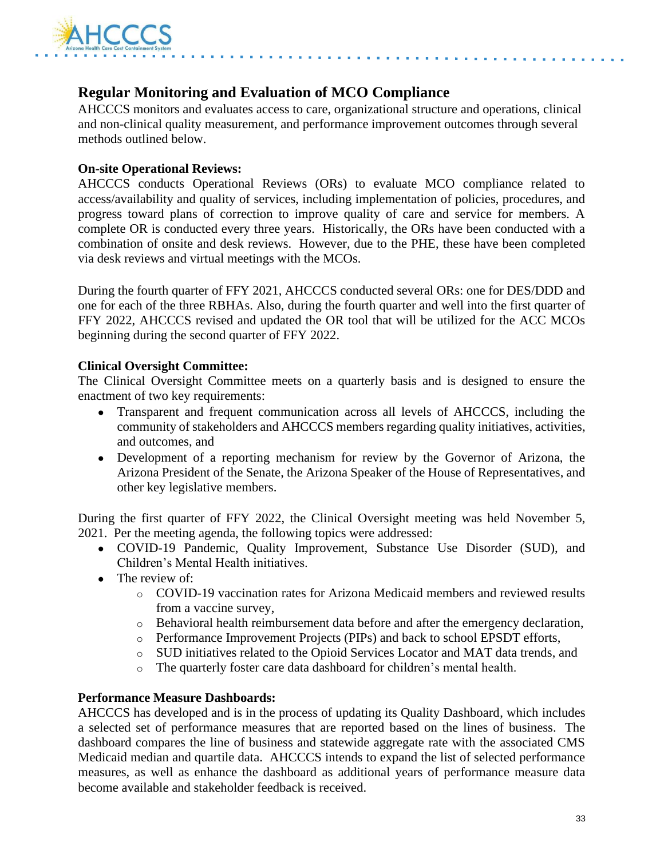

# **Regular Monitoring and Evaluation of MCO Compliance**

AHCCCS monitors and evaluates access to care, organizational structure and operations, clinical and non-clinical quality measurement, and performance improvement outcomes through several methods outlined below.

#### **On-site Operational Reviews:**

AHCCCS conducts Operational Reviews (ORs) to evaluate MCO compliance related to access/availability and quality of services, including implementation of policies, procedures, and progress toward plans of correction to improve quality of care and service for members. A complete OR is conducted every three years. Historically, the ORs have been conducted with a combination of onsite and desk reviews. However, due to the PHE, these have been completed via desk reviews and virtual meetings with the MCOs.

During the fourth quarter of FFY 2021, AHCCCS conducted several ORs: one for DES/DDD and one for each of the three RBHAs. Also, during the fourth quarter and well into the first quarter of FFY 2022, AHCCCS revised and updated the OR tool that will be utilized for the ACC MCOs beginning during the second quarter of FFY 2022.

#### **Clinical Oversight Committee:**

The Clinical Oversight Committee meets on a quarterly basis and is designed to ensure the enactment of two key requirements:

- Transparent and frequent communication across all levels of AHCCCS, including the community of stakeholders and AHCCCS members regarding quality initiatives, activities, and outcomes, and
- Development of a reporting mechanism for review by the Governor of Arizona, the Arizona President of the Senate, the Arizona Speaker of the House of Representatives, and other key legislative members.

During the first quarter of FFY 2022, the Clinical Oversight meeting was held November 5, 2021. Per the meeting agenda, the following topics were addressed:

- COVID-19 Pandemic, Quality Improvement, Substance Use Disorder (SUD), and Children's Mental Health initiatives.
- The review of:
	- o COVID-19 vaccination rates for Arizona Medicaid members and reviewed results from a vaccine survey,
	- o Behavioral health reimbursement data before and after the emergency declaration,
	- o Performance Improvement Projects (PIPs) and back to school EPSDT efforts,
	- o SUD initiatives related to the Opioid Services Locator and MAT data trends, and
	- o The quarterly foster care data dashboard for children's mental health.

#### **Performance Measure Dashboards:**

AHCCCS has developed and is in the process of updating its Quality Dashboard, which includes a selected set of performance measures that are reported based on the lines of business. The dashboard compares the line of business and statewide aggregate rate with the associated CMS Medicaid median and quartile data. AHCCCS intends to expand the list of selected performance measures, as well as enhance the dashboard as additional years of performance measure data become available and stakeholder feedback is received.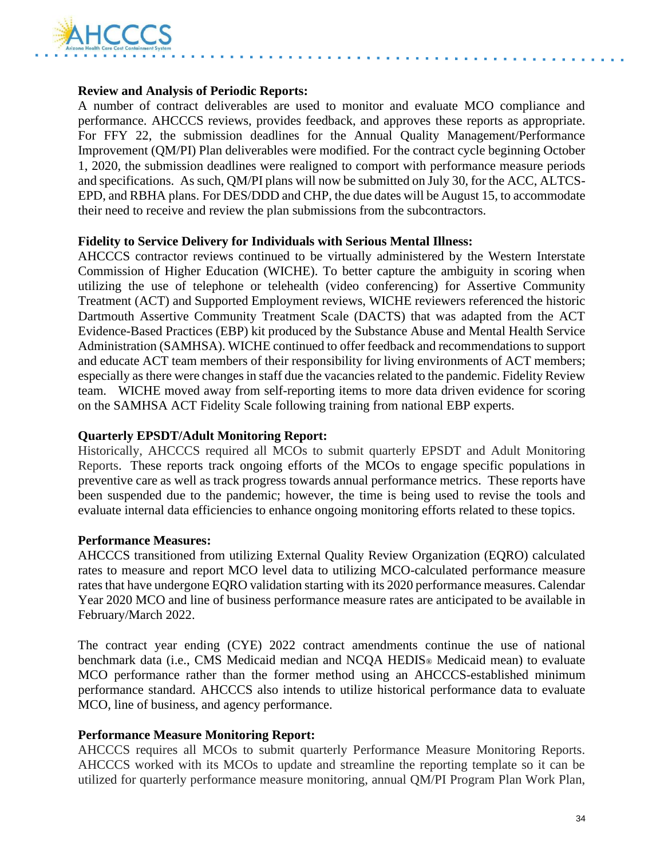

#### **Review and Analysis of Periodic Reports:**

A number of contract deliverables are used to monitor and evaluate MCO compliance and performance. AHCCCS reviews, provides feedback, and approves these reports as appropriate. For FFY 22, the submission deadlines for the Annual Quality Management/Performance Improvement (QM/PI) Plan deliverables were modified. For the contract cycle beginning October 1, 2020, the submission deadlines were realigned to comport with performance measure periods and specifications. As such, QM/PI plans will now be submitted on July 30, for the ACC, ALTCS-EPD, and RBHA plans. For DES/DDD and CHP, the due dates will be August 15, to accommodate their need to receive and review the plan submissions from the subcontractors.

#### **Fidelity to Service Delivery for Individuals with Serious Mental Illness:**

AHCCCS contractor reviews continued to be virtually administered by the Western Interstate Commission of Higher Education (WICHE). To better capture the ambiguity in scoring when utilizing the use of telephone or telehealth (video conferencing) for Assertive Community Treatment (ACT) and Supported Employment reviews, WICHE reviewers referenced the historic Dartmouth Assertive Community Treatment Scale (DACTS) that was adapted from the ACT Evidence-Based Practices (EBP) kit produced by the Substance Abuse and Mental Health Service Administration (SAMHSA). WICHE continued to offer feedback and recommendations to support and educate ACT team members of their responsibility for living environments of ACT members; especially as there were changes in staff due the vacancies related to the pandemic. Fidelity Review team. WICHE moved away from self-reporting items to more data driven evidence for scoring on the SAMHSA ACT Fidelity Scale following training from national EBP experts.

#### **Quarterly EPSDT/Adult Monitoring Report:**

Historically, AHCCCS required all MCOs to submit quarterly EPSDT and Adult Monitoring Reports. These reports track ongoing efforts of the MCOs to engage specific populations in preventive care as well as track progress towards annual performance metrics. These reports have been suspended due to the pandemic; however, the time is being used to revise the tools and evaluate internal data efficiencies to enhance ongoing monitoring efforts related to these topics.

#### **Performance Measures:**

AHCCCS transitioned from utilizing External Quality Review Organization (EQRO) calculated rates to measure and report MCO level data to utilizing MCO-calculated performance measure rates that have undergone EQRO validation starting with its 2020 performance measures. Calendar Year 2020 MCO and line of business performance measure rates are anticipated to be available in February/March 2022.

The contract year ending (CYE) 2022 contract amendments continue the use of national benchmark data (i.e., CMS Medicaid median and NCQA HEDIS® Medicaid mean) to evaluate MCO performance rather than the former method using an AHCCCS-established minimum performance standard. AHCCCS also intends to utilize historical performance data to evaluate MCO, line of business, and agency performance.

#### **Performance Measure Monitoring Report:**

AHCCCS requires all MCOs to submit quarterly Performance Measure Monitoring Reports. AHCCCS worked with its MCOs to update and streamline the reporting template so it can be utilized for quarterly performance measure monitoring, annual QM/PI Program Plan Work Plan,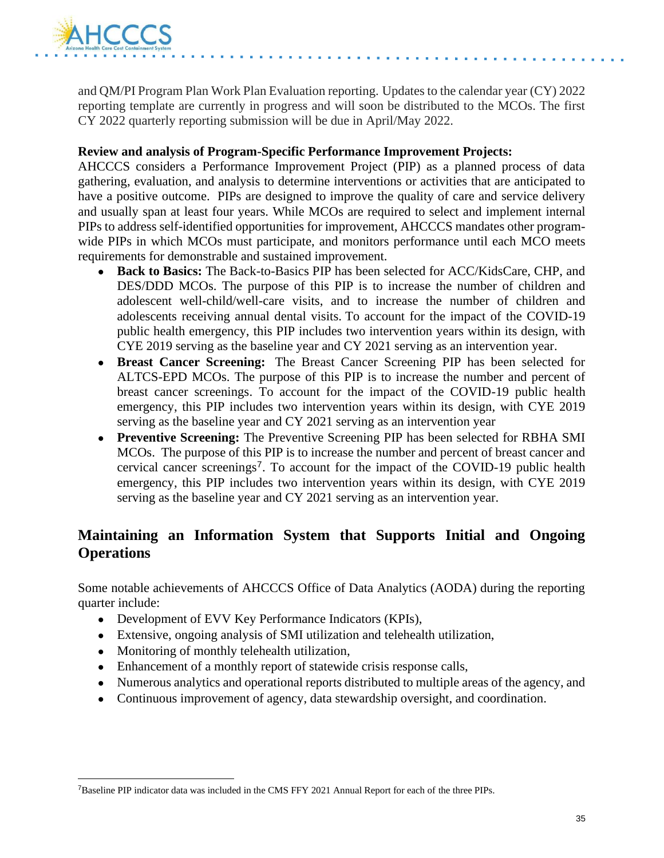

and QM/PI Program Plan Work Plan Evaluation reporting. Updates to the calendar year (CY) 2022 reporting template are currently in progress and will soon be distributed to the MCOs. The first CY 2022 quarterly reporting submission will be due in April/May 2022.

#### **Review and analysis of Program-Specific Performance Improvement Projects:**

AHCCCS considers a Performance Improvement Project (PIP) as a planned process of data gathering, evaluation, and analysis to determine interventions or activities that are anticipated to have a positive outcome. PIPs are designed to improve the quality of care and service delivery and usually span at least four years. While MCOs are required to select and implement internal PIPs to address self-identified opportunities for improvement, AHCCCS mandates other programwide PIPs in which MCOs must participate, and monitors performance until each MCO meets requirements for demonstrable and sustained improvement.

- **Back to Basics:** The Back-to-Basics PIP has been selected for ACC/KidsCare, CHP, and DES/DDD MCOs. The purpose of this PIP is to increase the number of children and adolescent well-child/well-care visits, and to increase the number of children and adolescents receiving annual dental visits. To account for the impact of the COVID-19 public health emergency, this PIP includes two intervention years within its design, with CYE 2019 serving as the baseline year and CY 2021 serving as an intervention year.
- **Breast Cancer Screening:** The Breast Cancer Screening PIP has been selected for ALTCS-EPD MCOs. The purpose of this PIP is to increase the number and percent of breast cancer screenings. To account for the impact of the COVID-19 public health emergency, this PIP includes two intervention years within its design, with CYE 2019 serving as the baseline year and CY 2021 serving as an intervention year
- **Preventive Screening:** The Preventive Screening PIP has been selected for RBHA SMI MCOs. The purpose of this PIP is to increase the number and percent of breast cancer and cervical cancer screenings<sup>7</sup>. To account for the impact of the COVID-19 public health emergency, this PIP includes two intervention years within its design, with CYE 2019 serving as the baseline year and CY 2021 serving as an intervention year.

# **Maintaining an Information System that Supports Initial and Ongoing Operations**

Some notable achievements of AHCCCS Office of Data Analytics (AODA) during the reporting quarter include:

- Development of EVV Key Performance Indicators (KPIs),
- Extensive, ongoing analysis of SMI utilization and telehealth utilization,
- Monitoring of monthly telehealth utilization,
- Enhancement of a monthly report of statewide crisis response calls,
- Numerous analytics and operational reports distributed to multiple areas of the agency, and
- Continuous improvement of agency, data stewardship oversight, and coordination.

<sup>7</sup>Baseline PIP indicator data was included in the CMS FFY 2021 Annual Report for each of the three PIPs.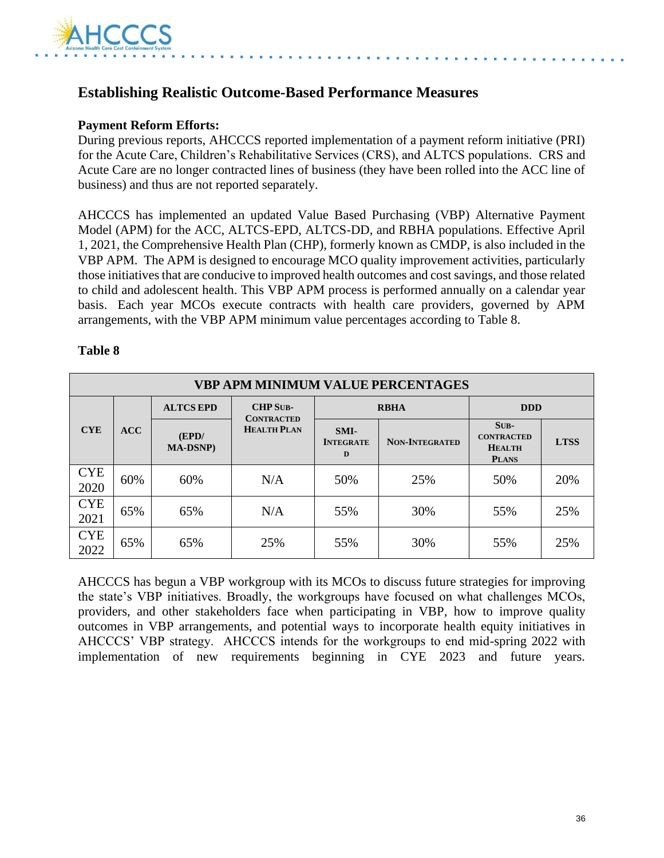

# **Establishing Realistic Outcome-Based Performance Measures**

#### **Payment Reform Efforts:**

During previous reports, AHCCCS reported implementation of a payment reform initiative (PRI) for the Acute Care, Children's Rehabilitative Services (CRS), and ALTCS populations. CRS and Acute Care are no longer contracted lines of business (they have been rolled into the ACC line of business) and thus are not reported separately.

AHCCCS has implemented an updated Value Based Purchasing (VBP) Alternative Payment Model (APM) for the ACC, ALTCS-EPD, ALTCS-DD, and RBHA populations. Effective April 1, 2021, the Comprehensive Health Plan (CHP), formerly known as CMDP, is also included in the VBP APM. The APM is designed to encourage MCO quality improvement activities, particularly those initiatives that are conducive to improved health outcomes and cost savings, and those related to child and adolescent health. This VBP APM process is performed annually on a calendar year basis. Each year MCOs execute contracts with health care providers, governed by APM arrangements, with the VBP APM minimum value percentages according to Table 8.

#### **Table 8**

| <b>VBP APM MINIMUM VALUE PERCENTAGES</b> |     |                           |                                      |                               |                       |                                                              |             |
|------------------------------------------|-----|---------------------------|--------------------------------------|-------------------------------|-----------------------|--------------------------------------------------------------|-------------|
| <b>CYE</b>                               | ACC | <b>ALTCS EPD</b>          | <b>CHP SUB-</b><br><b>CONTRACTED</b> | <b>RBHA</b>                   |                       | <b>DDD</b>                                                   |             |
|                                          |     | (EPD/<br><b>MA-DSNP</b> ) | <b>HEALTH PLAN</b>                   | SMI-<br><b>INTEGRATE</b><br>D | <b>NON-INTEGRATED</b> | $SUB-$<br><b>CONTRACTED</b><br><b>HEALTH</b><br><b>PLANS</b> | <b>LTSS</b> |
| <b>CYE</b><br>2020                       | 60% | 60%                       | N/A                                  | 50%                           | 25%                   | 50%                                                          | 20%         |
| <b>CYE</b><br>2021                       | 65% | 65%                       | N/A                                  | 55%                           | 30%                   | 55%                                                          | 25%         |
| <b>CYE</b><br>2022                       | 65% | 65%                       | 25%                                  | 55%                           | 30%                   | 55%                                                          | 25%         |

AHCCCS has begun a VBP workgroup with its MCOs to discuss future strategies for improving the state's VBP initiatives. Broadly, the workgroups have focused on what challenges MCOs, providers, and other stakeholders face when participating in VBP, how to improve quality outcomes in VBP arrangements, and potential ways to incorporate health equity initiatives in AHCCCS' VBP strategy. AHCCCS intends for the workgroups to end mid-spring 2022 with implementation of new requirements beginning in CYE 2023 and future years.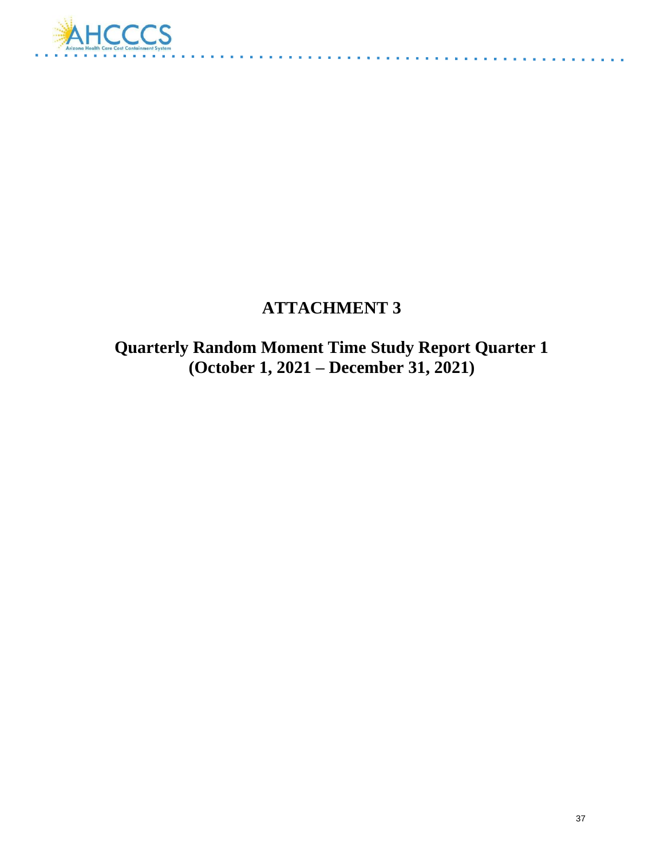

# **ATTACHMENT 3**

**Quarterly Random Moment Time Study Report Quarter 1 (October 1, 2021 – December 31, 2021)**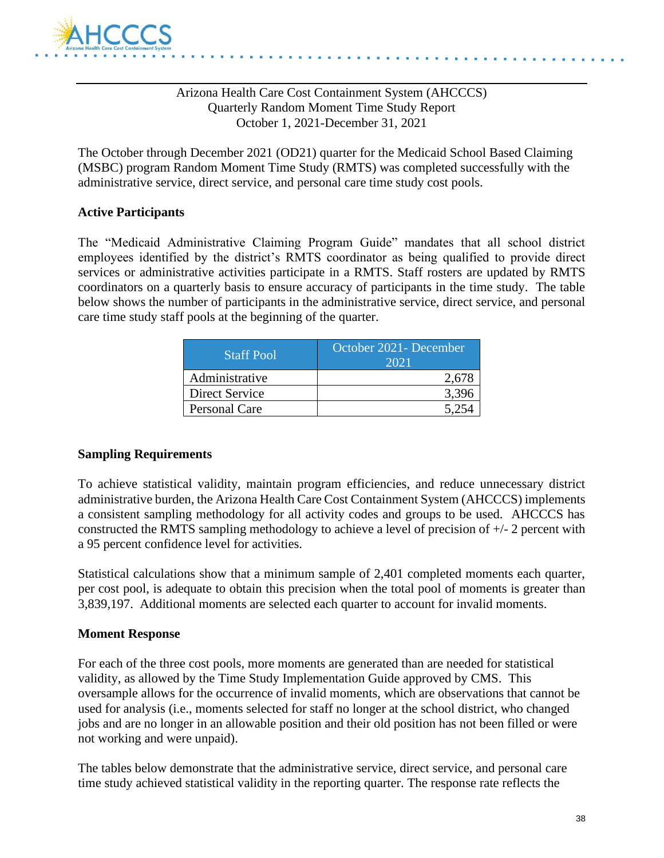

#### Arizona Health Care Cost Containment System (AHCCCS) Quarterly Random Moment Time Study Report October 1, 2021-December 31, 2021

The October through December 2021 (OD21) quarter for the Medicaid School Based Claiming (MSBC) program Random Moment Time Study (RMTS) was completed successfully with the administrative service, direct service, and personal care time study cost pools.

#### **Active Participants**

The "Medicaid Administrative Claiming Program Guide" mandates that all school district employees identified by the district's RMTS coordinator as being qualified to provide direct services or administrative activities participate in a RMTS. Staff rosters are updated by RMTS coordinators on a quarterly basis to ensure accuracy of participants in the time study. The table below shows the number of participants in the administrative service, direct service, and personal care time study staff pools at the beginning of the quarter.

| <b>Staff Pool</b> | October 2021 - December<br>2021 |  |  |  |
|-------------------|---------------------------------|--|--|--|
| Administrative    | 2.678                           |  |  |  |
| Direct Service    | 3.396                           |  |  |  |
| Personal Care     |                                 |  |  |  |

#### **Sampling Requirements**

To achieve statistical validity, maintain program efficiencies, and reduce unnecessary district administrative burden, the Arizona Health Care Cost Containment System (AHCCCS) implements a consistent sampling methodology for all activity codes and groups to be used. AHCCCS has constructed the RMTS sampling methodology to achieve a level of precision of +/- 2 percent with a 95 percent confidence level for activities.

Statistical calculations show that a minimum sample of 2,401 completed moments each quarter, per cost pool, is adequate to obtain this precision when the total pool of moments is greater than 3,839,197. Additional moments are selected each quarter to account for invalid moments.

#### **Moment Response**

For each of the three cost pools, more moments are generated than are needed for statistical validity, as allowed by the Time Study Implementation Guide approved by CMS. This oversample allows for the occurrence of invalid moments, which are observations that cannot be used for analysis (i.e., moments selected for staff no longer at the school district, who changed jobs and are no longer in an allowable position and their old position has not been filled or were not working and were unpaid).

The tables below demonstrate that the administrative service, direct service, and personal care time study achieved statistical validity in the reporting quarter. The response rate reflects the